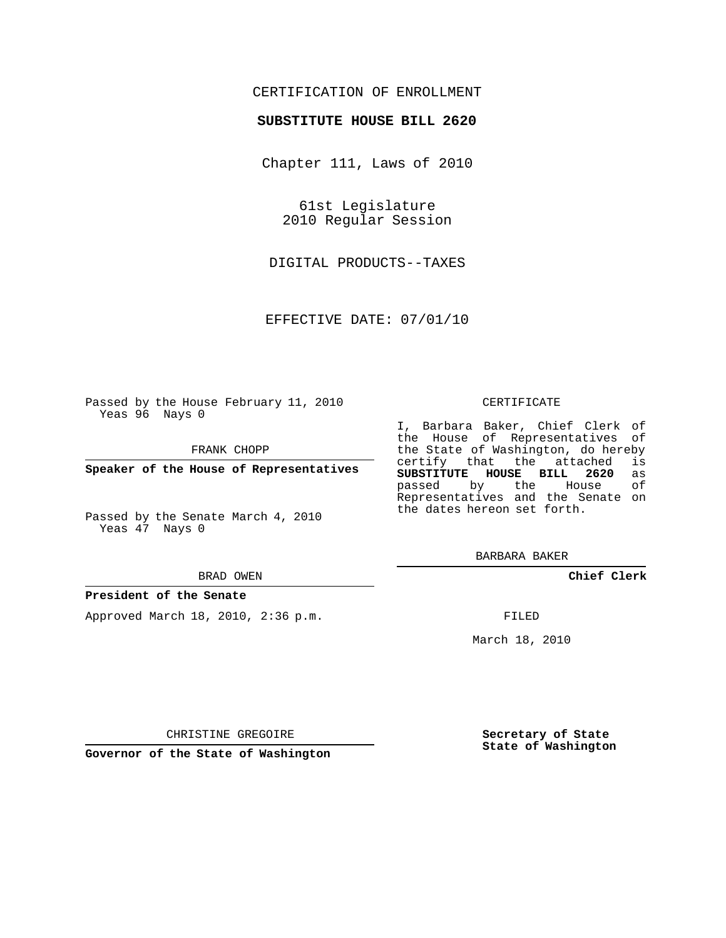#### CERTIFICATION OF ENROLLMENT

#### **SUBSTITUTE HOUSE BILL 2620**

Chapter 111, Laws of 2010

61st Legislature 2010 Regular Session

DIGITAL PRODUCTS--TAXES

EFFECTIVE DATE: 07/01/10

Passed by the House February 11, 2010 Yeas 96 Nays 0

FRANK CHOPP

**Speaker of the House of Representatives**

Passed by the Senate March 4, 2010 Yeas 47 Nays 0

#### BRAD OWEN

#### **President of the Senate**

Approved March 18, 2010, 2:36 p.m.

#### CERTIFICATE

I, Barbara Baker, Chief Clerk of the House of Representatives of the State of Washington, do hereby<br>certify that the attached is certify that the attached **SUBSTITUTE HOUSE BILL 2620** as passed by the Representatives and the Senate on the dates hereon set forth.

BARBARA BAKER

**Chief Clerk**

FILED

March 18, 2010

**Secretary of State State of Washington**

CHRISTINE GREGOIRE

**Governor of the State of Washington**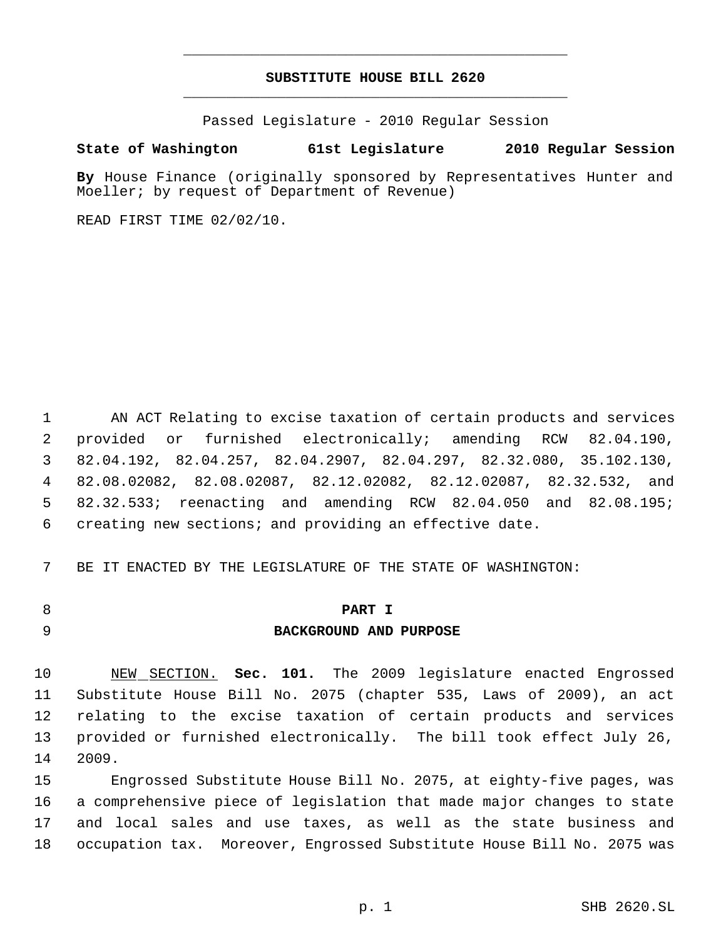### **SUBSTITUTE HOUSE BILL 2620** \_\_\_\_\_\_\_\_\_\_\_\_\_\_\_\_\_\_\_\_\_\_\_\_\_\_\_\_\_\_\_\_\_\_\_\_\_\_\_\_\_\_\_\_\_

\_\_\_\_\_\_\_\_\_\_\_\_\_\_\_\_\_\_\_\_\_\_\_\_\_\_\_\_\_\_\_\_\_\_\_\_\_\_\_\_\_\_\_\_\_

Passed Legislature - 2010 Regular Session

#### **State of Washington 61st Legislature 2010 Regular Session**

**By** House Finance (originally sponsored by Representatives Hunter and Moeller; by request of Department of Revenue)

READ FIRST TIME 02/02/10.

 AN ACT Relating to excise taxation of certain products and services provided or furnished electronically; amending RCW 82.04.190, 82.04.192, 82.04.257, 82.04.2907, 82.04.297, 82.32.080, 35.102.130, 82.08.02082, 82.08.02087, 82.12.02082, 82.12.02087, 82.32.532, and 82.32.533; reenacting and amending RCW 82.04.050 and 82.08.195; creating new sections; and providing an effective date.

BE IT ENACTED BY THE LEGISLATURE OF THE STATE OF WASHINGTON:

# **PART I**

## **BACKGROUND AND PURPOSE**

 NEW SECTION. **Sec. 101.** The 2009 legislature enacted Engrossed Substitute House Bill No. 2075 (chapter 535, Laws of 2009), an act relating to the excise taxation of certain products and services provided or furnished electronically. The bill took effect July 26, 2009.

 Engrossed Substitute House Bill No. 2075, at eighty-five pages, was a comprehensive piece of legislation that made major changes to state and local sales and use taxes, as well as the state business and occupation tax. Moreover, Engrossed Substitute House Bill No. 2075 was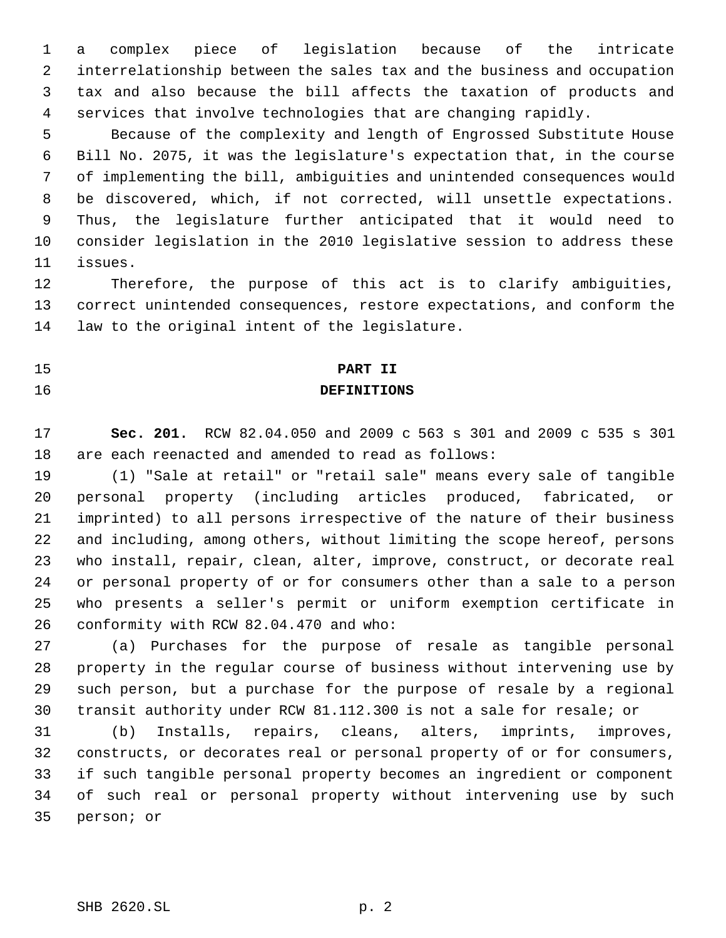a complex piece of legislation because of the intricate interrelationship between the sales tax and the business and occupation tax and also because the bill affects the taxation of products and services that involve technologies that are changing rapidly.

 Because of the complexity and length of Engrossed Substitute House Bill No. 2075, it was the legislature's expectation that, in the course of implementing the bill, ambiguities and unintended consequences would be discovered, which, if not corrected, will unsettle expectations. Thus, the legislature further anticipated that it would need to consider legislation in the 2010 legislative session to address these issues.

 Therefore, the purpose of this act is to clarify ambiguities, correct unintended consequences, restore expectations, and conform the law to the original intent of the legislature.

# **PART II**

### **DEFINITIONS**

 **Sec. 201.** RCW 82.04.050 and 2009 c 563 s 301 and 2009 c 535 s 301 are each reenacted and amended to read as follows:

 (1) "Sale at retail" or "retail sale" means every sale of tangible personal property (including articles produced, fabricated, or imprinted) to all persons irrespective of the nature of their business and including, among others, without limiting the scope hereof, persons who install, repair, clean, alter, improve, construct, or decorate real or personal property of or for consumers other than a sale to a person who presents a seller's permit or uniform exemption certificate in conformity with RCW 82.04.470 and who:

 (a) Purchases for the purpose of resale as tangible personal property in the regular course of business without intervening use by such person, but a purchase for the purpose of resale by a regional transit authority under RCW 81.112.300 is not a sale for resale; or

 (b) Installs, repairs, cleans, alters, imprints, improves, constructs, or decorates real or personal property of or for consumers, if such tangible personal property becomes an ingredient or component of such real or personal property without intervening use by such person; or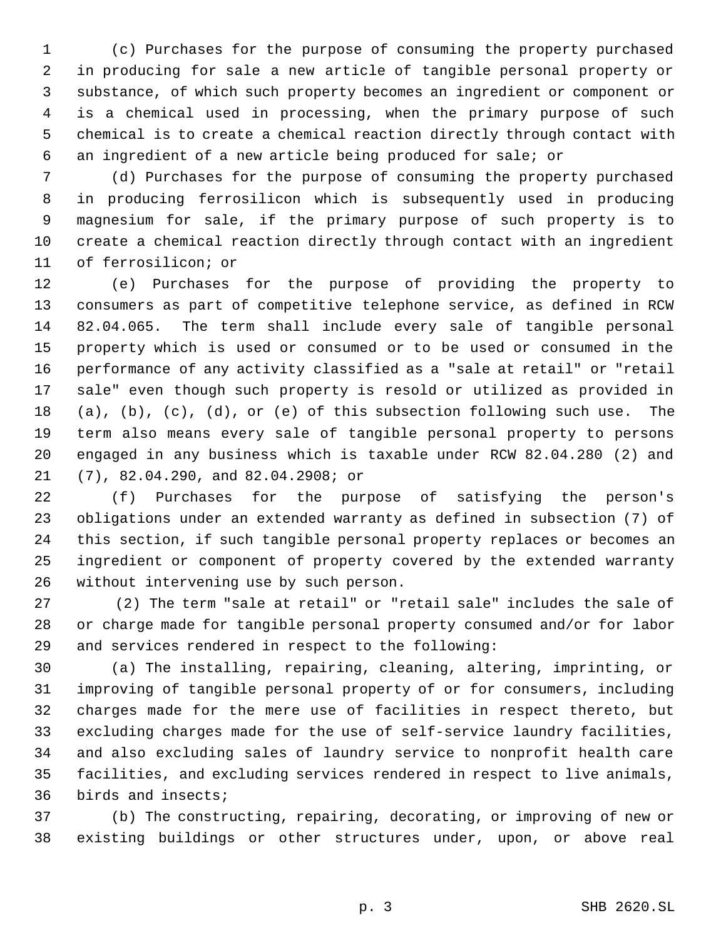(c) Purchases for the purpose of consuming the property purchased in producing for sale a new article of tangible personal property or substance, of which such property becomes an ingredient or component or is a chemical used in processing, when the primary purpose of such chemical is to create a chemical reaction directly through contact with an ingredient of a new article being produced for sale; or

 (d) Purchases for the purpose of consuming the property purchased in producing ferrosilicon which is subsequently used in producing magnesium for sale, if the primary purpose of such property is to create a chemical reaction directly through contact with an ingredient of ferrosilicon; or

 (e) Purchases for the purpose of providing the property to consumers as part of competitive telephone service, as defined in RCW 82.04.065. The term shall include every sale of tangible personal property which is used or consumed or to be used or consumed in the performance of any activity classified as a "sale at retail" or "retail sale" even though such property is resold or utilized as provided in (a), (b), (c), (d), or (e) of this subsection following such use. The term also means every sale of tangible personal property to persons engaged in any business which is taxable under RCW 82.04.280 (2) and (7), 82.04.290, and 82.04.2908; or

 (f) Purchases for the purpose of satisfying the person's obligations under an extended warranty as defined in subsection (7) of this section, if such tangible personal property replaces or becomes an ingredient or component of property covered by the extended warranty without intervening use by such person.

27 (2) The term "sale at retail" or "retail sale" includes the sale of or charge made for tangible personal property consumed and/or for labor and services rendered in respect to the following:

 (a) The installing, repairing, cleaning, altering, imprinting, or improving of tangible personal property of or for consumers, including charges made for the mere use of facilities in respect thereto, but excluding charges made for the use of self-service laundry facilities, and also excluding sales of laundry service to nonprofit health care facilities, and excluding services rendered in respect to live animals, birds and insects;

 (b) The constructing, repairing, decorating, or improving of new or existing buildings or other structures under, upon, or above real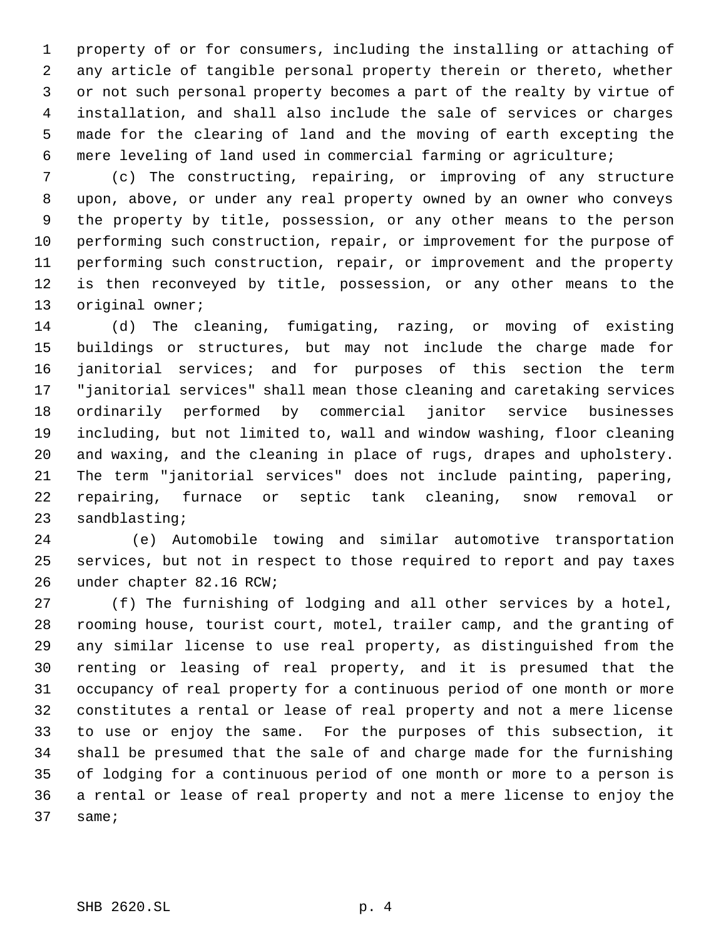property of or for consumers, including the installing or attaching of any article of tangible personal property therein or thereto, whether or not such personal property becomes a part of the realty by virtue of installation, and shall also include the sale of services or charges made for the clearing of land and the moving of earth excepting the mere leveling of land used in commercial farming or agriculture;

 (c) The constructing, repairing, or improving of any structure upon, above, or under any real property owned by an owner who conveys the property by title, possession, or any other means to the person performing such construction, repair, or improvement for the purpose of performing such construction, repair, or improvement and the property is then reconveyed by title, possession, or any other means to the 13 original owner;

 (d) The cleaning, fumigating, razing, or moving of existing buildings or structures, but may not include the charge made for janitorial services; and for purposes of this section the term "janitorial services" shall mean those cleaning and caretaking services ordinarily performed by commercial janitor service businesses including, but not limited to, wall and window washing, floor cleaning and waxing, and the cleaning in place of rugs, drapes and upholstery. The term "janitorial services" does not include painting, papering, repairing, furnace or septic tank cleaning, snow removal or sandblasting;

24 (e) Automobile towing and similar automotive transportation services, but not in respect to those required to report and pay taxes under chapter 82.16 RCW;

 (f) The furnishing of lodging and all other services by a hotel, rooming house, tourist court, motel, trailer camp, and the granting of any similar license to use real property, as distinguished from the renting or leasing of real property, and it is presumed that the occupancy of real property for a continuous period of one month or more constitutes a rental or lease of real property and not a mere license to use or enjoy the same. For the purposes of this subsection, it shall be presumed that the sale of and charge made for the furnishing of lodging for a continuous period of one month or more to a person is a rental or lease of real property and not a mere license to enjoy the same;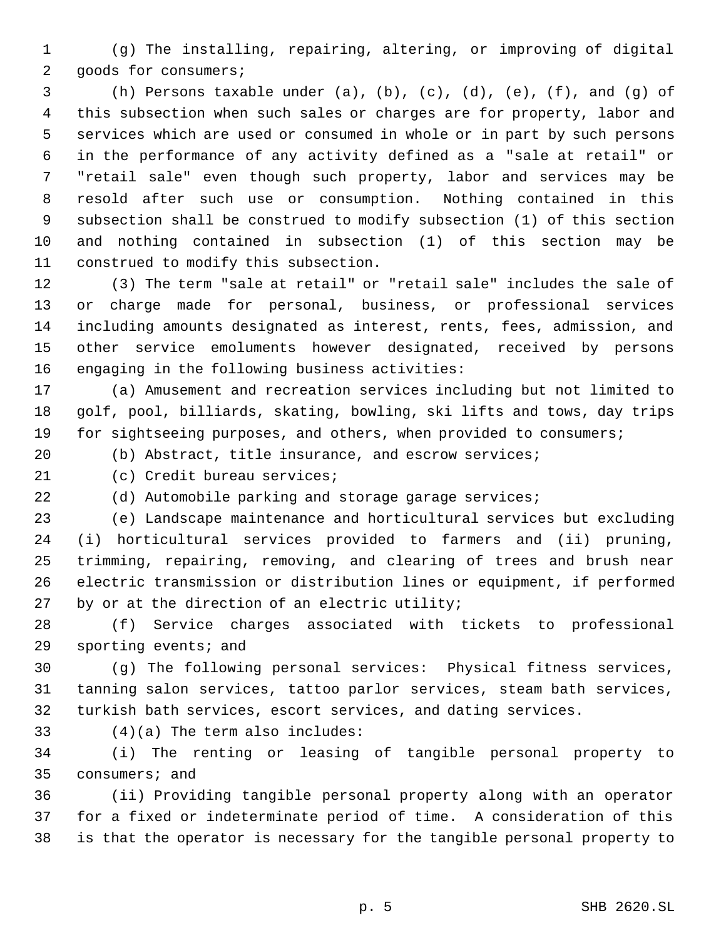(g) The installing, repairing, altering, or improving of digital goods for consumers;

3 (h) Persons taxable under (a), (b), (c), (d), (e), (f), and (q) of this subsection when such sales or charges are for property, labor and services which are used or consumed in whole or in part by such persons in the performance of any activity defined as a "sale at retail" or "retail sale" even though such property, labor and services may be resold after such use or consumption. Nothing contained in this subsection shall be construed to modify subsection (1) of this section and nothing contained in subsection (1) of this section may be construed to modify this subsection.

 (3) The term "sale at retail" or "retail sale" includes the sale of or charge made for personal, business, or professional services including amounts designated as interest, rents, fees, admission, and other service emoluments however designated, received by persons engaging in the following business activities:

 (a) Amusement and recreation services including but not limited to golf, pool, billiards, skating, bowling, ski lifts and tows, day trips 19 for sightseeing purposes, and others, when provided to consumers;

(b) Abstract, title insurance, and escrow services;

(c) Credit bureau services;

(d) Automobile parking and storage garage services;

 (e) Landscape maintenance and horticultural services but excluding (i) horticultural services provided to farmers and (ii) pruning, trimming, repairing, removing, and clearing of trees and brush near electric transmission or distribution lines or equipment, if performed by or at the direction of an electric utility;

 (f) Service charges associated with tickets to professional sporting events; and

 (g) The following personal services: Physical fitness services, tanning salon services, tattoo parlor services, steam bath services, turkish bath services, escort services, and dating services.

(4)(a) The term also includes:

 (i) The renting or leasing of tangible personal property to consumers; and

 (ii) Providing tangible personal property along with an operator for a fixed or indeterminate period of time. A consideration of this is that the operator is necessary for the tangible personal property to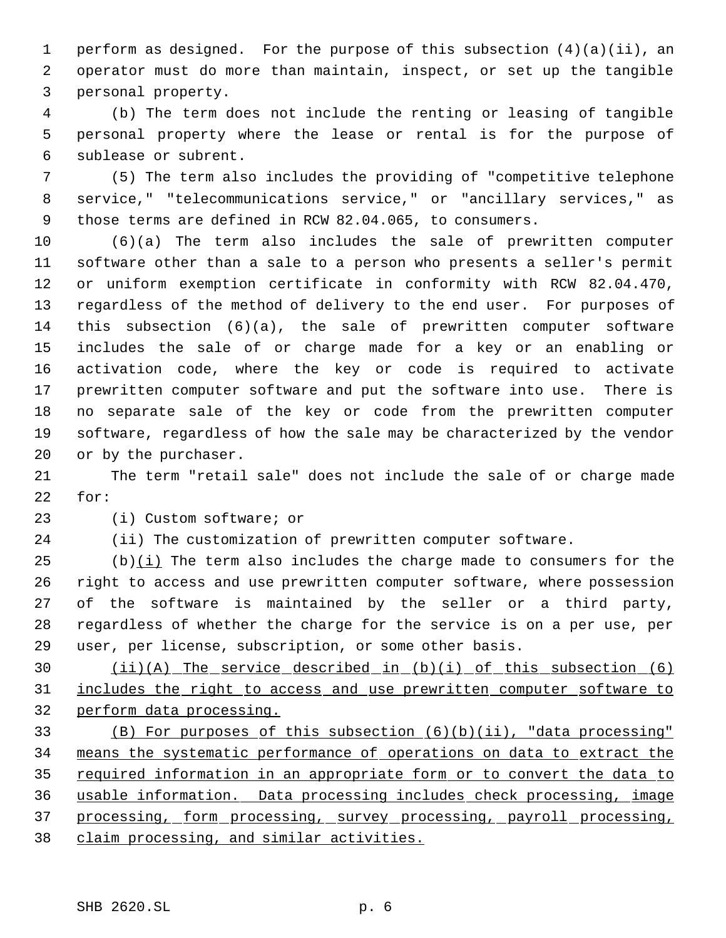perform as designed. For the purpose of this subsection (4)(a)(ii), an operator must do more than maintain, inspect, or set up the tangible personal property.

 (b) The term does not include the renting or leasing of tangible personal property where the lease or rental is for the purpose of sublease or subrent.

 (5) The term also includes the providing of "competitive telephone service," "telecommunications service," or "ancillary services," as those terms are defined in RCW 82.04.065, to consumers.

 (6)(a) The term also includes the sale of prewritten computer software other than a sale to a person who presents a seller's permit or uniform exemption certificate in conformity with RCW 82.04.470, regardless of the method of delivery to the end user. For purposes of this subsection (6)(a), the sale of prewritten computer software includes the sale of or charge made for a key or an enabling or activation code, where the key or code is required to activate prewritten computer software and put the software into use. There is no separate sale of the key or code from the prewritten computer software, regardless of how the sale may be characterized by the vendor or by the purchaser.

 The term "retail sale" does not include the sale of or charge made for:

(i) Custom software; or

(ii) The customization of prewritten computer software.

 (b)(i) The term also includes the charge made to consumers for the right to access and use prewritten computer software, where possession of the software is maintained by the seller or a third party, regardless of whether the charge for the service is on a per use, per user, per license, subscription, or some other basis.

 (ii)(A) The service described in (b)(i) of this subsection (6) includes the right to access and use prewritten computer software to perform data processing.

 (B) For purposes of this subsection (6)(b)(ii), "data processing" means the systematic performance of operations on data to extract the 35 required information in an appropriate form or to convert the data to usable information. Data processing includes check processing, image processing, form processing, survey processing, payroll processing, claim processing, and similar activities.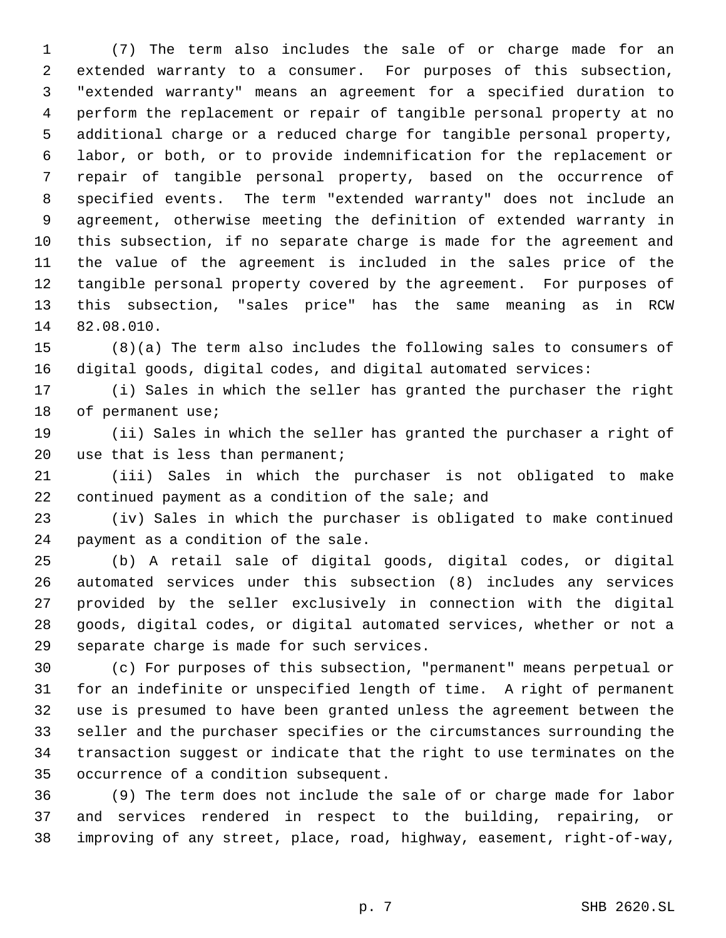(7) The term also includes the sale of or charge made for an extended warranty to a consumer. For purposes of this subsection, "extended warranty" means an agreement for a specified duration to perform the replacement or repair of tangible personal property at no additional charge or a reduced charge for tangible personal property, labor, or both, or to provide indemnification for the replacement or repair of tangible personal property, based on the occurrence of specified events. The term "extended warranty" does not include an agreement, otherwise meeting the definition of extended warranty in this subsection, if no separate charge is made for the agreement and the value of the agreement is included in the sales price of the tangible personal property covered by the agreement. For purposes of this subsection, "sales price" has the same meaning as in RCW 82.08.010.

 (8)(a) The term also includes the following sales to consumers of digital goods, digital codes, and digital automated services:

 (i) Sales in which the seller has granted the purchaser the right 18 of permanent use;

 (ii) Sales in which the seller has granted the purchaser a right of 20 use that is less than permanent;

 (iii) Sales in which the purchaser is not obligated to make continued payment as a condition of the sale; and

 (iv) Sales in which the purchaser is obligated to make continued payment as a condition of the sale.

 (b) A retail sale of digital goods, digital codes, or digital automated services under this subsection (8) includes any services provided by the seller exclusively in connection with the digital goods, digital codes, or digital automated services, whether or not a separate charge is made for such services.

 (c) For purposes of this subsection, "permanent" means perpetual or for an indefinite or unspecified length of time. A right of permanent use is presumed to have been granted unless the agreement between the seller and the purchaser specifies or the circumstances surrounding the transaction suggest or indicate that the right to use terminates on the occurrence of a condition subsequent.

 (9) The term does not include the sale of or charge made for labor and services rendered in respect to the building, repairing, or improving of any street, place, road, highway, easement, right-of-way,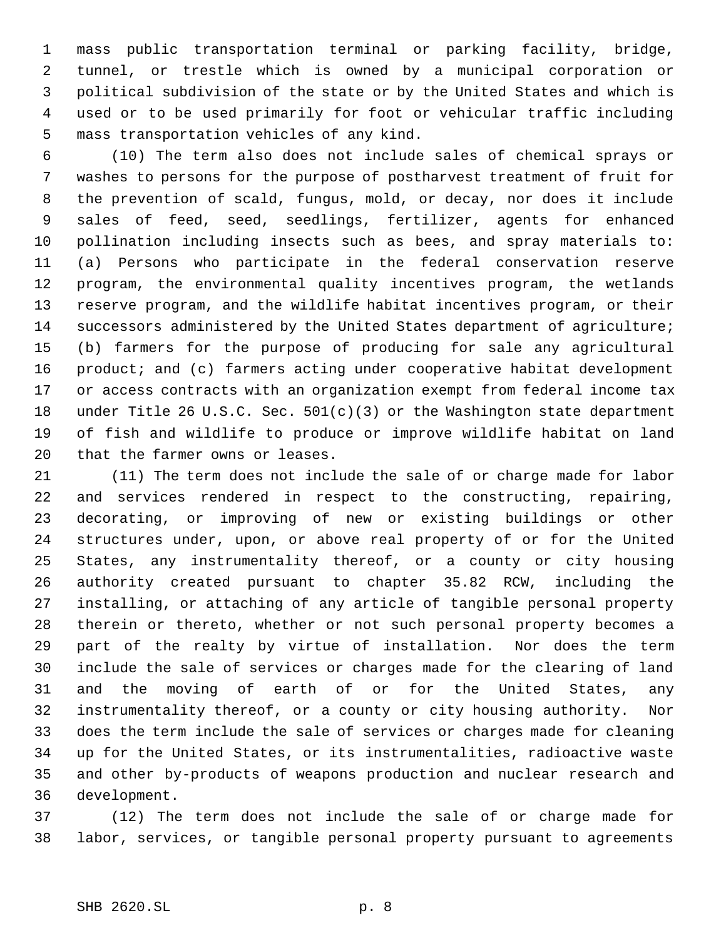mass public transportation terminal or parking facility, bridge, tunnel, or trestle which is owned by a municipal corporation or political subdivision of the state or by the United States and which is used or to be used primarily for foot or vehicular traffic including mass transportation vehicles of any kind.

 (10) The term also does not include sales of chemical sprays or washes to persons for the purpose of postharvest treatment of fruit for the prevention of scald, fungus, mold, or decay, nor does it include sales of feed, seed, seedlings, fertilizer, agents for enhanced pollination including insects such as bees, and spray materials to: (a) Persons who participate in the federal conservation reserve program, the environmental quality incentives program, the wetlands reserve program, and the wildlife habitat incentives program, or their successors administered by the United States department of agriculture; (b) farmers for the purpose of producing for sale any agricultural product; and (c) farmers acting under cooperative habitat development or access contracts with an organization exempt from federal income tax under Title 26 U.S.C. Sec. 501(c)(3) or the Washington state department of fish and wildlife to produce or improve wildlife habitat on land that the farmer owns or leases.

 (11) The term does not include the sale of or charge made for labor and services rendered in respect to the constructing, repairing, decorating, or improving of new or existing buildings or other structures under, upon, or above real property of or for the United States, any instrumentality thereof, or a county or city housing authority created pursuant to chapter 35.82 RCW, including the installing, or attaching of any article of tangible personal property therein or thereto, whether or not such personal property becomes a part of the realty by virtue of installation. Nor does the term include the sale of services or charges made for the clearing of land and the moving of earth of or for the United States, any instrumentality thereof, or a county or city housing authority. Nor does the term include the sale of services or charges made for cleaning up for the United States, or its instrumentalities, radioactive waste and other by-products of weapons production and nuclear research and development.

 (12) The term does not include the sale of or charge made for labor, services, or tangible personal property pursuant to agreements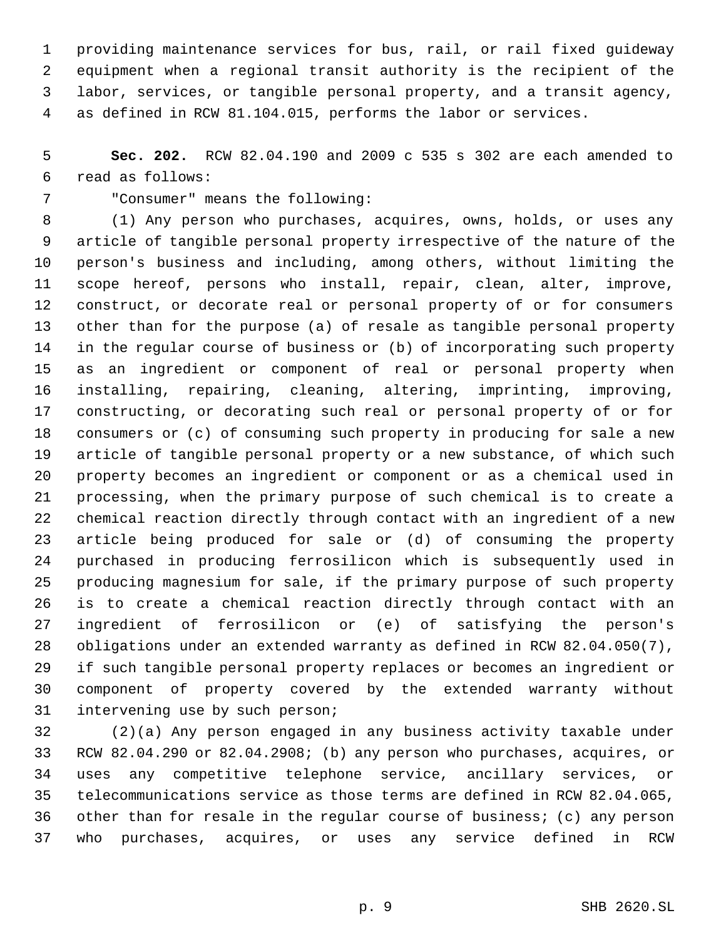providing maintenance services for bus, rail, or rail fixed guideway equipment when a regional transit authority is the recipient of the labor, services, or tangible personal property, and a transit agency, as defined in RCW 81.104.015, performs the labor or services.

 **Sec. 202.** RCW 82.04.190 and 2009 c 535 s 302 are each amended to read as follows:

"Consumer" means the following:

 (1) Any person who purchases, acquires, owns, holds, or uses any article of tangible personal property irrespective of the nature of the person's business and including, among others, without limiting the scope hereof, persons who install, repair, clean, alter, improve, construct, or decorate real or personal property of or for consumers other than for the purpose (a) of resale as tangible personal property in the regular course of business or (b) of incorporating such property as an ingredient or component of real or personal property when installing, repairing, cleaning, altering, imprinting, improving, constructing, or decorating such real or personal property of or for consumers or (c) of consuming such property in producing for sale a new article of tangible personal property or a new substance, of which such property becomes an ingredient or component or as a chemical used in processing, when the primary purpose of such chemical is to create a chemical reaction directly through contact with an ingredient of a new article being produced for sale or (d) of consuming the property purchased in producing ferrosilicon which is subsequently used in producing magnesium for sale, if the primary purpose of such property is to create a chemical reaction directly through contact with an ingredient of ferrosilicon or (e) of satisfying the person's obligations under an extended warranty as defined in RCW 82.04.050(7), if such tangible personal property replaces or becomes an ingredient or component of property covered by the extended warranty without intervening use by such person;

 (2)(a) Any person engaged in any business activity taxable under RCW 82.04.290 or 82.04.2908; (b) any person who purchases, acquires, or uses any competitive telephone service, ancillary services, or telecommunications service as those terms are defined in RCW 82.04.065, other than for resale in the regular course of business; (c) any person who purchases, acquires, or uses any service defined in RCW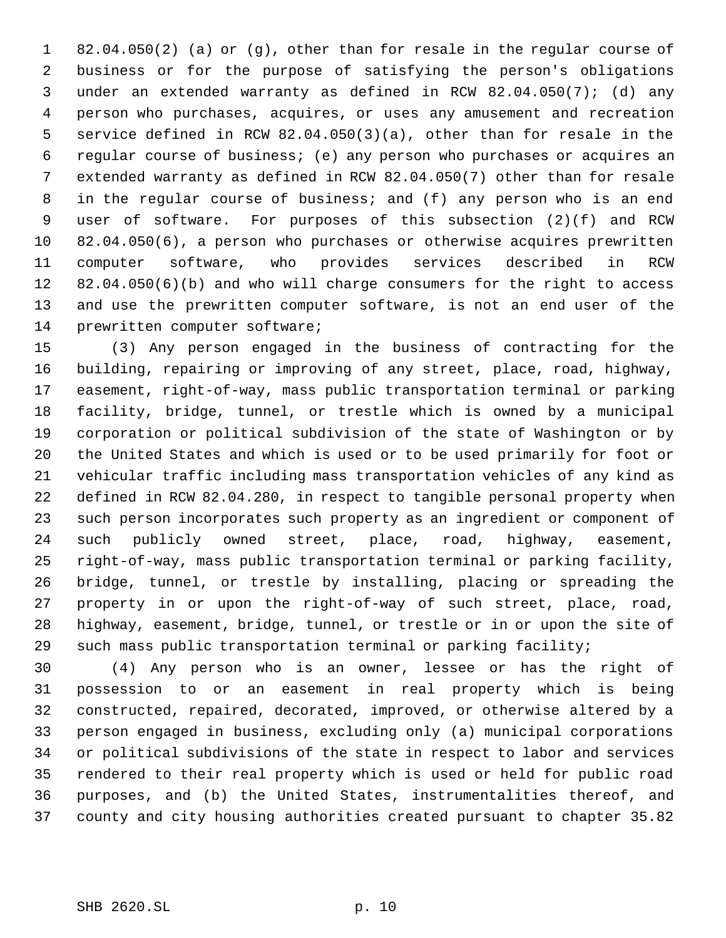82.04.050(2) (a) or (g), other than for resale in the regular course of business or for the purpose of satisfying the person's obligations under an extended warranty as defined in RCW 82.04.050(7); (d) any person who purchases, acquires, or uses any amusement and recreation service defined in RCW 82.04.050(3)(a), other than for resale in the regular course of business; (e) any person who purchases or acquires an extended warranty as defined in RCW 82.04.050(7) other than for resale in the regular course of business; and (f) any person who is an end user of software. For purposes of this subsection (2)(f) and RCW 82.04.050(6), a person who purchases or otherwise acquires prewritten computer software, who provides services described in RCW 82.04.050(6)(b) and who will charge consumers for the right to access and use the prewritten computer software, is not an end user of the prewritten computer software;

 (3) Any person engaged in the business of contracting for the building, repairing or improving of any street, place, road, highway, easement, right-of-way, mass public transportation terminal or parking facility, bridge, tunnel, or trestle which is owned by a municipal corporation or political subdivision of the state of Washington or by the United States and which is used or to be used primarily for foot or vehicular traffic including mass transportation vehicles of any kind as defined in RCW 82.04.280, in respect to tangible personal property when such person incorporates such property as an ingredient or component of such publicly owned street, place, road, highway, easement, right-of-way, mass public transportation terminal or parking facility, bridge, tunnel, or trestle by installing, placing or spreading the property in or upon the right-of-way of such street, place, road, highway, easement, bridge, tunnel, or trestle or in or upon the site of such mass public transportation terminal or parking facility;

 (4) Any person who is an owner, lessee or has the right of possession to or an easement in real property which is being constructed, repaired, decorated, improved, or otherwise altered by a person engaged in business, excluding only (a) municipal corporations or political subdivisions of the state in respect to labor and services rendered to their real property which is used or held for public road purposes, and (b) the United States, instrumentalities thereof, and county and city housing authorities created pursuant to chapter 35.82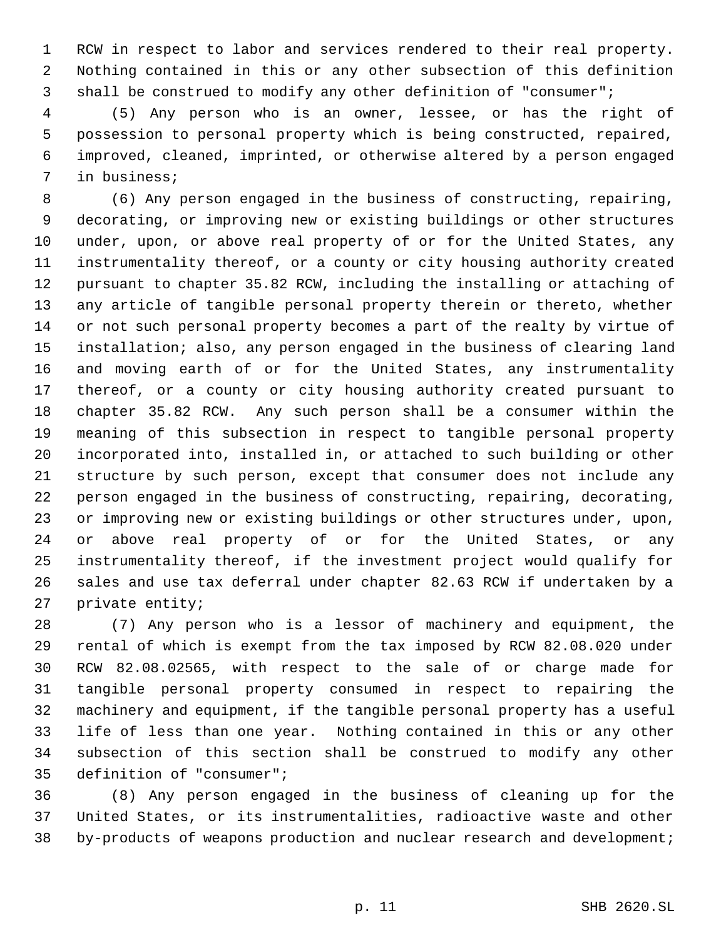RCW in respect to labor and services rendered to their real property. Nothing contained in this or any other subsection of this definition shall be construed to modify any other definition of "consumer";

 (5) Any person who is an owner, lessee, or has the right of possession to personal property which is being constructed, repaired, improved, cleaned, imprinted, or otherwise altered by a person engaged in business;

 (6) Any person engaged in the business of constructing, repairing, decorating, or improving new or existing buildings or other structures under, upon, or above real property of or for the United States, any instrumentality thereof, or a county or city housing authority created pursuant to chapter 35.82 RCW, including the installing or attaching of any article of tangible personal property therein or thereto, whether or not such personal property becomes a part of the realty by virtue of installation; also, any person engaged in the business of clearing land and moving earth of or for the United States, any instrumentality thereof, or a county or city housing authority created pursuant to chapter 35.82 RCW. Any such person shall be a consumer within the meaning of this subsection in respect to tangible personal property incorporated into, installed in, or attached to such building or other structure by such person, except that consumer does not include any person engaged in the business of constructing, repairing, decorating, or improving new or existing buildings or other structures under, upon, or above real property of or for the United States, or any instrumentality thereof, if the investment project would qualify for sales and use tax deferral under chapter 82.63 RCW if undertaken by a private entity;

 (7) Any person who is a lessor of machinery and equipment, the rental of which is exempt from the tax imposed by RCW 82.08.020 under RCW 82.08.02565, with respect to the sale of or charge made for tangible personal property consumed in respect to repairing the machinery and equipment, if the tangible personal property has a useful life of less than one year. Nothing contained in this or any other subsection of this section shall be construed to modify any other definition of "consumer";

 (8) Any person engaged in the business of cleaning up for the United States, or its instrumentalities, radioactive waste and other by-products of weapons production and nuclear research and development;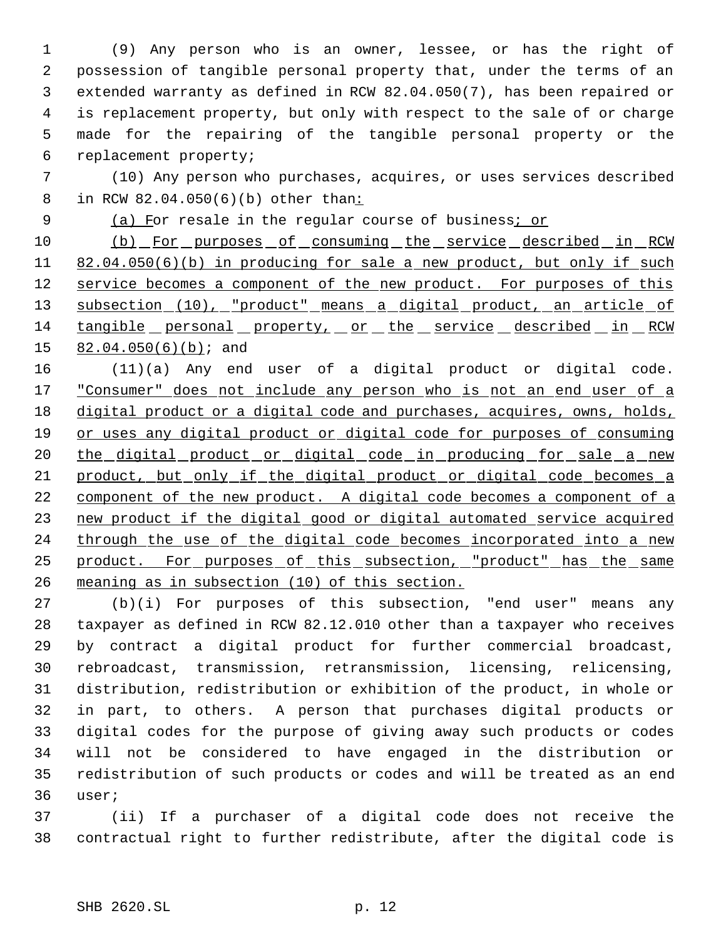(9) Any person who is an owner, lessee, or has the right of possession of tangible personal property that, under the terms of an extended warranty as defined in RCW 82.04.050(7), has been repaired or is replacement property, but only with respect to the sale of or charge made for the repairing of the tangible personal property or the replacement property;

 (10) Any person who purchases, acquires, or uses services described 8 in RCW 82.04.050(6)(b) other than:

9 (a) For resale in the regular course of business; or

10 (b) For purposes of consuming the service described in RCW 11 82.04.050(6)(b) in producing for sale a new product, but only if such 12 service becomes a component of the new product. For purposes of this 13 subsection (10), "product" means a digital product, an article of 14 tangible personal property, or the service described in RCW 15 82.04.050(6)(b); and

 (11)(a) Any end user of a digital product or digital code. 17 "Consumer" does not include any person who is not an end user of a digital product or a digital code and purchases, acquires, owns, holds, 19 or uses any digital product or digital code for purposes of consuming 20 the digital product or digital code in producing for sale a new 21 product, but only if the digital product or digital code becomes a component of the new product. A digital code becomes a component of a new product if the digital good or digital automated service acquired 24 through the use of the digital code becomes incorporated into a new product. For purposes of this subsection, "product" has the same meaning as in subsection (10) of this section.

 (b)(i) For purposes of this subsection, "end user" means any taxpayer as defined in RCW 82.12.010 other than a taxpayer who receives by contract a digital product for further commercial broadcast, rebroadcast, transmission, retransmission, licensing, relicensing, distribution, redistribution or exhibition of the product, in whole or in part, to others. A person that purchases digital products or digital codes for the purpose of giving away such products or codes will not be considered to have engaged in the distribution or redistribution of such products or codes and will be treated as an end user;

 (ii) If a purchaser of a digital code does not receive the contractual right to further redistribute, after the digital code is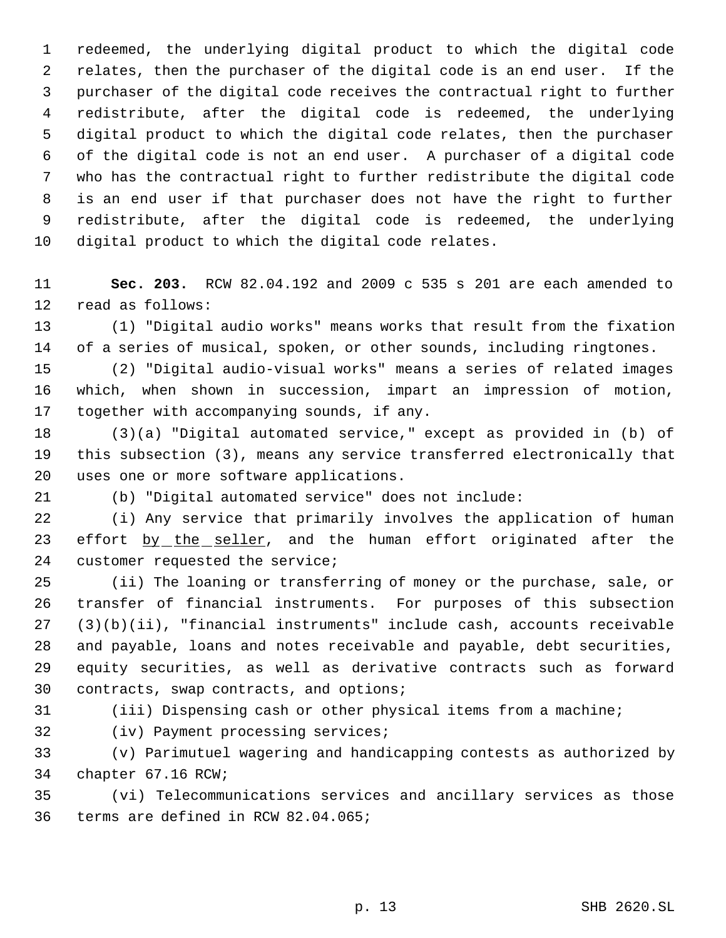redeemed, the underlying digital product to which the digital code relates, then the purchaser of the digital code is an end user. If the purchaser of the digital code receives the contractual right to further redistribute, after the digital code is redeemed, the underlying digital product to which the digital code relates, then the purchaser of the digital code is not an end user. A purchaser of a digital code who has the contractual right to further redistribute the digital code is an end user if that purchaser does not have the right to further redistribute, after the digital code is redeemed, the underlying digital product to which the digital code relates.

 **Sec. 203.** RCW 82.04.192 and 2009 c 535 s 201 are each amended to read as follows:

 (1) "Digital audio works" means works that result from the fixation of a series of musical, spoken, or other sounds, including ringtones.

 (2) "Digital audio-visual works" means a series of related images which, when shown in succession, impart an impression of motion, together with accompanying sounds, if any.

 (3)(a) "Digital automated service," except as provided in (b) of this subsection (3), means any service transferred electronically that uses one or more software applications.

(b) "Digital automated service" does not include:

 (i) Any service that primarily involves the application of human 23 effort by the seller, and the human effort originated after the customer requested the service;

 (ii) The loaning or transferring of money or the purchase, sale, or transfer of financial instruments. For purposes of this subsection (3)(b)(ii), "financial instruments" include cash, accounts receivable and payable, loans and notes receivable and payable, debt securities, equity securities, as well as derivative contracts such as forward contracts, swap contracts, and options;

(iii) Dispensing cash or other physical items from a machine;

(iv) Payment processing services;

 (v) Parimutuel wagering and handicapping contests as authorized by chapter 67.16 RCW;

 (vi) Telecommunications services and ancillary services as those terms are defined in RCW 82.04.065;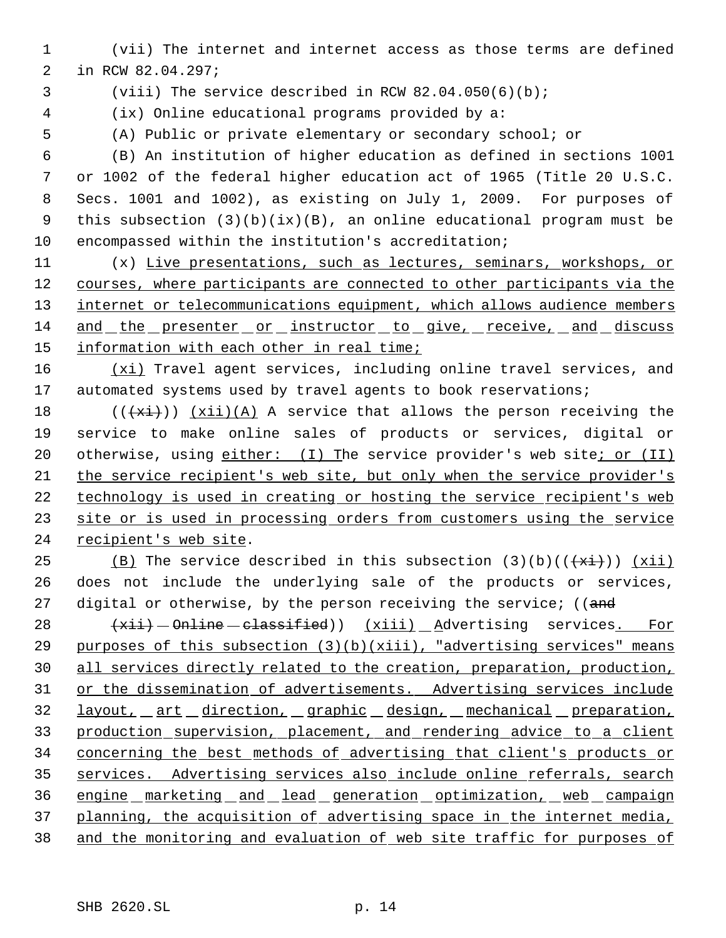- (vii) The internet and internet access as those terms are defined in RCW 82.04.297;
- 
- (viii) The service described in RCW 82.04.050(6)(b);
- (ix) Online educational programs provided by a:
- 

(A) Public or private elementary or secondary school; or

 (B) An institution of higher education as defined in sections 1001 or 1002 of the federal higher education act of 1965 (Title 20 U.S.C. Secs. 1001 and 1002), as existing on July 1, 2009. For purposes of this subsection (3)(b)(ix)(B), an online educational program must be encompassed within the institution's accreditation;

 (x) Live presentations, such as lectures, seminars, workshops, or courses, where participants are connected to other participants via the 13 internet or telecommunications equipment, which allows audience members and the presenter or instructor to give, receive, and discuss information with each other in real time;

16 (xi) Travel agent services, including online travel services, and 17 automated systems used by travel agents to book reservations;

 $((+x\text{i}))(\text{X}i)(\text{A})$  A service that allows the person receiving the service to make online sales of products or services, digital or 20 otherwise, using either: (I) The service provider's web site; or (II) the service recipient's web site, but only when the service provider's technology is used in creating or hosting the service recipient's web 23 site or is used in processing orders from customers using the service recipient's web site.

25 (B) The service described in this subsection  $(3)(b)((+\overline{x}i))$  (xii) does not include the underlying sale of the products or services, 27 digital or otherwise, by the person receiving the service; ((and

 $+xii$  -  $\theta$ nline  $-\theta$  classified))  $(xiii)$  Advertising services. For purposes of this subsection (3)(b)(xiii), "advertising services" means all services directly related to the creation, preparation, production, or the dissemination of advertisements. Advertising services include layout, art direction, graphic design, mechanical preparation, production supervision, placement, and rendering advice to a client concerning the best methods of advertising that client's products or services. Advertising services also include online referrals, search engine marketing and lead generation optimization, web campaign 37 planning, the acquisition of advertising space in the internet media, and the monitoring and evaluation of web site traffic for purposes of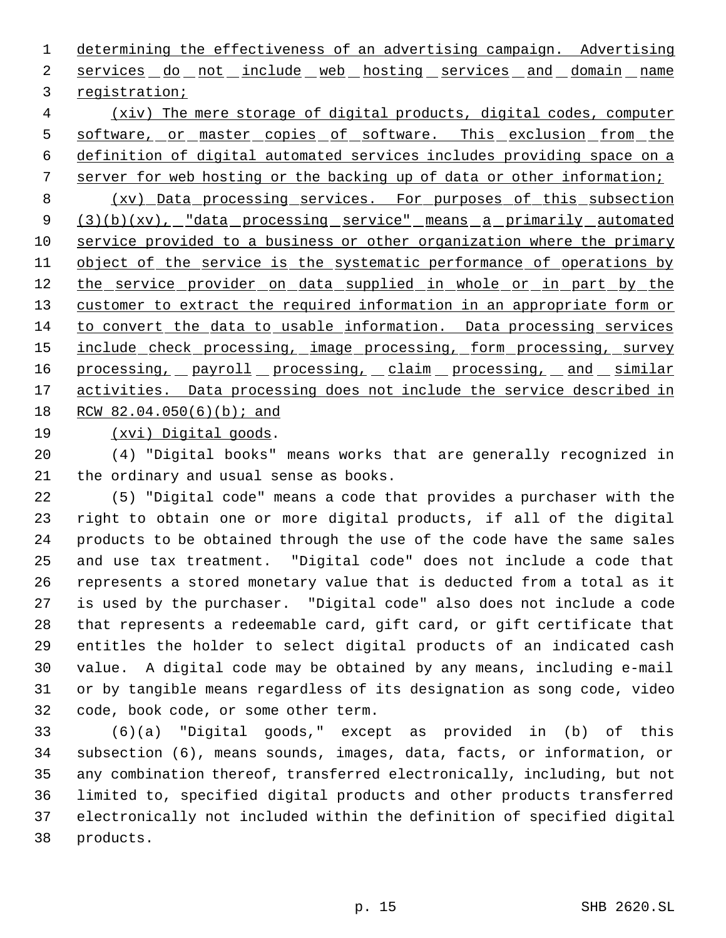determining the effectiveness of an advertising campaign. Advertising 2 services do not include web hosting services and domain name registration;

 (xiv) The mere storage of digital products, digital codes, computer 5 software, or master copies of software. This exclusion from the definition of digital automated services includes providing space on a server for web hosting or the backing up of data or other information;

8 (xv) Data processing services. For purposes of this subsection 9 (3)(b)(xv), "data processing service" means a primarily automated service provided to a business or other organization where the primary 11 object of the service is the systematic performance of operations by 12 the service provider on data supplied in whole or in part by the 13 customer to extract the required information in an appropriate form or to convert the data to usable information. Data processing services 15 include check processing, image processing, form processing, survey 16 processing, payroll processing, claim processing, and similar 17 activities. Data processing does not include the service described in RCW 82.04.050(6)(b); and

(xvi) Digital goods.

 (4) "Digital books" means works that are generally recognized in the ordinary and usual sense as books.

 (5) "Digital code" means a code that provides a purchaser with the right to obtain one or more digital products, if all of the digital products to be obtained through the use of the code have the same sales and use tax treatment. "Digital code" does not include a code that represents a stored monetary value that is deducted from a total as it is used by the purchaser. "Digital code" also does not include a code that represents a redeemable card, gift card, or gift certificate that entitles the holder to select digital products of an indicated cash value. A digital code may be obtained by any means, including e-mail or by tangible means regardless of its designation as song code, video code, book code, or some other term.

 (6)(a) "Digital goods," except as provided in (b) of this subsection (6), means sounds, images, data, facts, or information, or any combination thereof, transferred electronically, including, but not limited to, specified digital products and other products transferred electronically not included within the definition of specified digital products.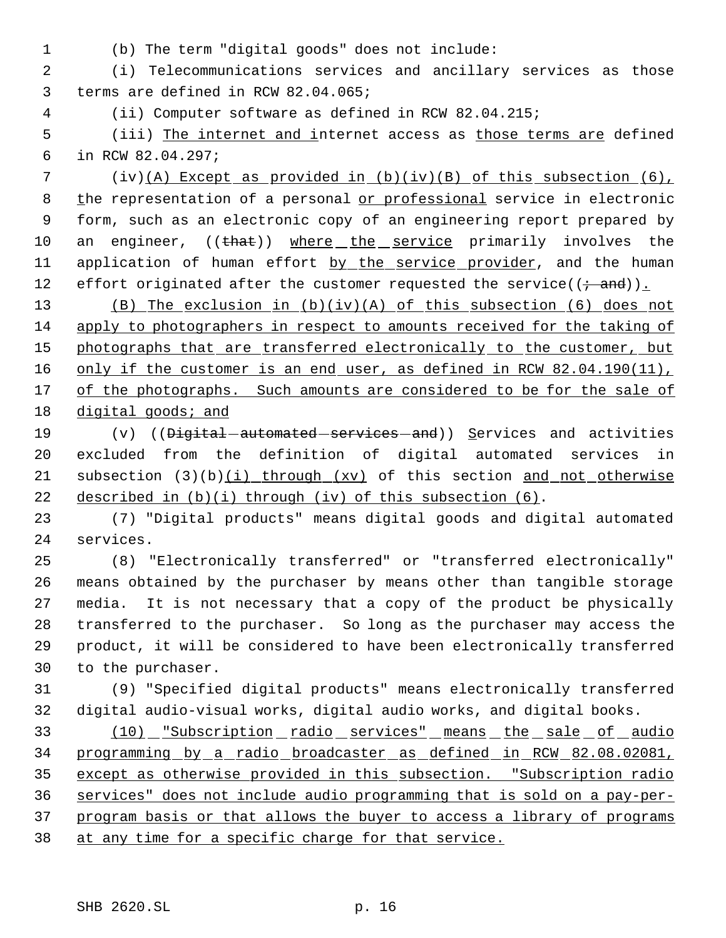- 
- (b) The term "digital goods" does not include:

 (i) Telecommunications services and ancillary services as those terms are defined in RCW 82.04.065;

(ii) Computer software as defined in RCW 82.04.215;

5 (iii) The internet and internet access as those terms are defined in RCW 82.04.297;

 (iv)(A) Except as provided in (b)(iv)(B) of this subsection (6), 8 the representation of a personal or professional service in electronic form, such as an electronic copy of an engineering report prepared by 10 an engineer, ((that)) where the service primarily involves the 11 application of human effort by the service provider, and the human 12 effort originated after the customer requested the service( $(\hat{\mathbf{r}} - \hat{\mathbf{a}})$ ).

 (B) The exclusion in (b)(iv)(A) of this subsection (6) does not apply to photographers in respect to amounts received for the taking of 15 photographs that are transferred electronically to the customer, but 16 only if the customer is an end user, as defined in RCW 82.04.190(11), 17 of the photographs. Such amounts are considered to be for the sale of 18 digital goods; and

19 (v) ((<del>Digital automated services and</del>)) Services and activities excluded from the definition of digital automated services in 21 subsection  $(3)(b)(i)$  through  $(xv)$  of this section and not otherwise 22 described in  $(b)(i)$  through (iv) of this subsection  $(6)$ .

 (7) "Digital products" means digital goods and digital automated services.

 (8) "Electronically transferred" or "transferred electronically" means obtained by the purchaser by means other than tangible storage media. It is not necessary that a copy of the product be physically transferred to the purchaser. So long as the purchaser may access the product, it will be considered to have been electronically transferred to the purchaser.

 (9) "Specified digital products" means electronically transferred digital audio-visual works, digital audio works, and digital books.

 (10) "Subscription radio services" means the sale of audio programming by a radio broadcaster as defined in RCW 82.08.02081, except as otherwise provided in this subsection. "Subscription radio services" does not include audio programming that is sold on a pay-per- program basis or that allows the buyer to access a library of programs 38 at any time for a specific charge for that service.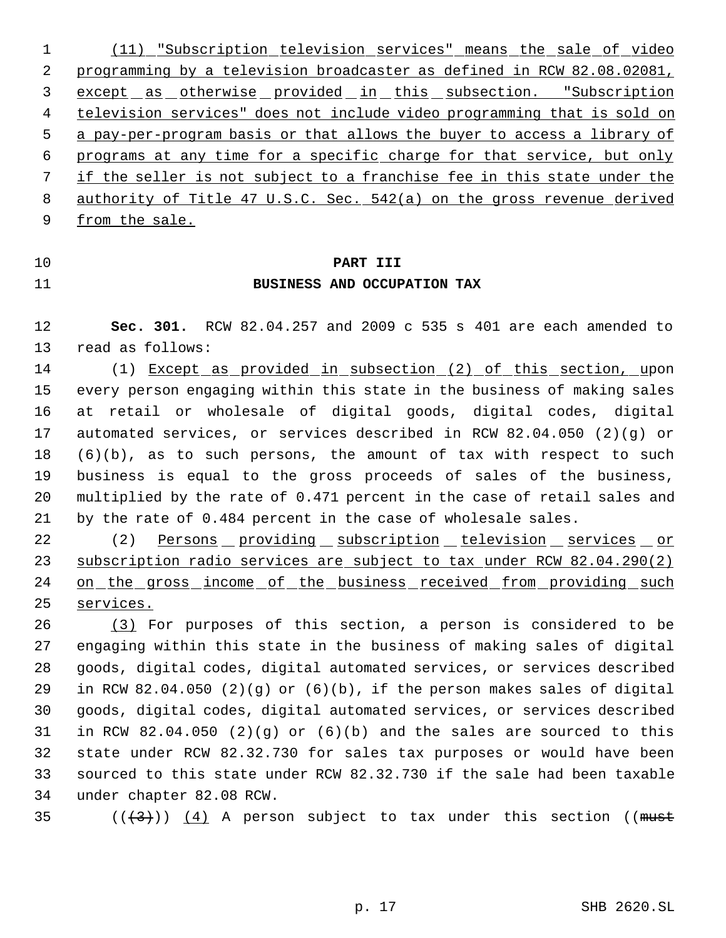(11) "Subscription television services" means the sale of video programming by a television broadcaster as defined in RCW 82.08.02081, except as otherwise provided in this subsection. "Subscription television services" does not include video programming that is sold on a pay-per-program basis or that allows the buyer to access a library of programs at any time for a specific charge for that service, but only if the seller is not subject to a franchise fee in this state under the authority of Title 47 U.S.C. Sec. 542(a) on the gross revenue derived 9 from the sale.

## **PART III**

#### **BUSINESS AND OCCUPATION TAX**

 **Sec. 301.** RCW 82.04.257 and 2009 c 535 s 401 are each amended to read as follows:

14 (1) Except as provided in subsection (2) of this section, upon every person engaging within this state in the business of making sales at retail or wholesale of digital goods, digital codes, digital automated services, or services described in RCW 82.04.050 (2)(g) or (6)(b), as to such persons, the amount of tax with respect to such business is equal to the gross proceeds of sales of the business, multiplied by the rate of 0.471 percent in the case of retail sales and by the rate of 0.484 percent in the case of wholesale sales.

22 (2) Persons providing subscription television services or subscription radio services are subject to tax under RCW 82.04.290(2) 24 on the gross income of the business received from providing such services.

 (3) For purposes of this section, a person is considered to be engaging within this state in the business of making sales of digital goods, digital codes, digital automated services, or services described in RCW 82.04.050 (2)(g) or (6)(b), if the person makes sales of digital goods, digital codes, digital automated services, or services described in RCW 82.04.050 (2)(g) or (6)(b) and the sales are sourced to this state under RCW 82.32.730 for sales tax purposes or would have been sourced to this state under RCW 82.32.730 if the sale had been taxable under chapter 82.08 RCW.

35 ( $(\frac{43}{})$ ) (4) A person subject to tax under this section ((must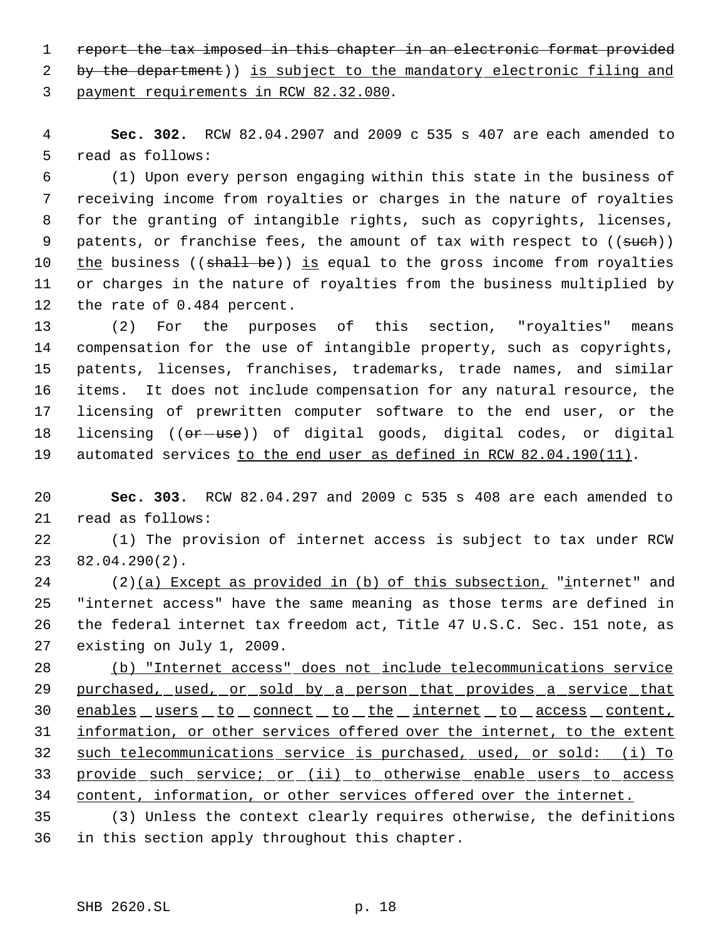1 report the tax imposed in this chapter in an electronic format provided

2 by the department)) is subject to the mandatory electronic filing and payment requirements in RCW 82.32.080.

 **Sec. 302.** RCW 82.04.2907 and 2009 c 535 s 407 are each amended to read as follows:

 (1) Upon every person engaging within this state in the business of receiving income from royalties or charges in the nature of royalties for the granting of intangible rights, such as copyrights, licenses, 9 patents, or franchise fees, the amount of tax with respect to ((such)) 10 the business ((shall be)) is equal to the gross income from royalties or charges in the nature of royalties from the business multiplied by the rate of 0.484 percent.

 (2) For the purposes of this section, "royalties" means compensation for the use of intangible property, such as copyrights, patents, licenses, franchises, trademarks, trade names, and similar items. It does not include compensation for any natural resource, the licensing of prewritten computer software to the end user, or the 18 licensing (( $\sigma$ r use)) of digital goods, digital codes, or digital 19 automated services to the end user as defined in RCW 82.04.190(11).

 **Sec. 303.** RCW 82.04.297 and 2009 c 535 s 408 are each amended to read as follows:

 (1) The provision of internet access is subject to tax under RCW 82.04.290(2).

 (2)(a) Except as provided in (b) of this subsection, "internet" and "internet access" have the same meaning as those terms are defined in the federal internet tax freedom act, Title 47 U.S.C. Sec. 151 note, as existing on July 1, 2009.

 (b) "Internet access" does not include telecommunications service 29 purchased, used, or sold by a person that provides a service that 30 enables users to connect to the internet to access content, 31 information, or other services offered over the internet, to the extent such telecommunications service is purchased, used, or sold: (i) To provide such service; or (ii) to otherwise enable users to access content, information, or other services offered over the internet.

 (3) Unless the context clearly requires otherwise, the definitions in this section apply throughout this chapter.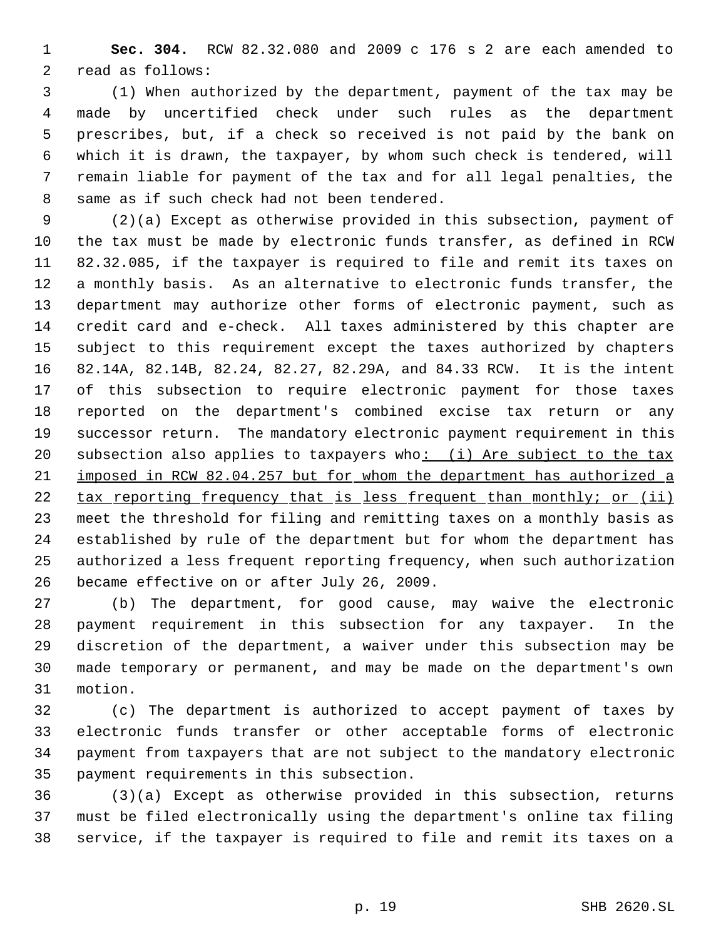**Sec. 304.** RCW 82.32.080 and 2009 c 176 s 2 are each amended to read as follows:

 (1) When authorized by the department, payment of the tax may be made by uncertified check under such rules as the department prescribes, but, if a check so received is not paid by the bank on which it is drawn, the taxpayer, by whom such check is tendered, will remain liable for payment of the tax and for all legal penalties, the same as if such check had not been tendered.

 (2)(a) Except as otherwise provided in this subsection, payment of the tax must be made by electronic funds transfer, as defined in RCW 82.32.085, if the taxpayer is required to file and remit its taxes on a monthly basis. As an alternative to electronic funds transfer, the department may authorize other forms of electronic payment, such as credit card and e-check. All taxes administered by this chapter are subject to this requirement except the taxes authorized by chapters 82.14A, 82.14B, 82.24, 82.27, 82.29A, and 84.33 RCW. It is the intent of this subsection to require electronic payment for those taxes reported on the department's combined excise tax return or any successor return. The mandatory electronic payment requirement in this 20 subsection also applies to taxpayers who: (i) Are subject to the tax imposed in RCW 82.04.257 but for whom the department has authorized a tax reporting frequency that is less frequent than monthly; or (ii) meet the threshold for filing and remitting taxes on a monthly basis as established by rule of the department but for whom the department has authorized a less frequent reporting frequency, when such authorization became effective on or after July 26, 2009.

 (b) The department, for good cause, may waive the electronic payment requirement in this subsection for any taxpayer. In the discretion of the department, a waiver under this subsection may be made temporary or permanent, and may be made on the department's own motion.

 (c) The department is authorized to accept payment of taxes by electronic funds transfer or other acceptable forms of electronic payment from taxpayers that are not subject to the mandatory electronic payment requirements in this subsection.

 (3)(a) Except as otherwise provided in this subsection, returns must be filed electronically using the department's online tax filing service, if the taxpayer is required to file and remit its taxes on a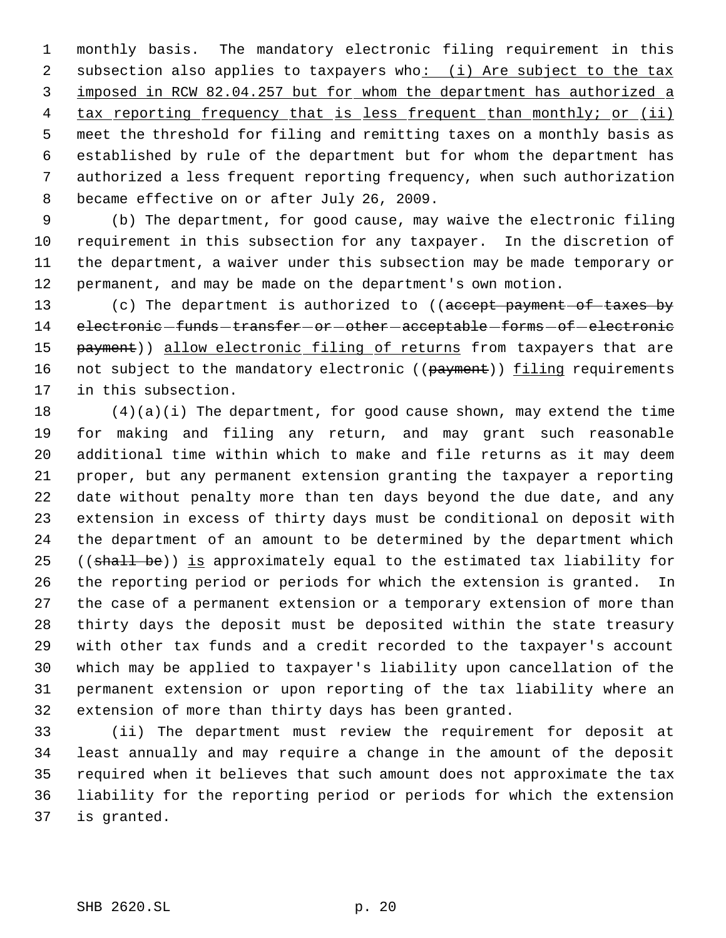monthly basis. The mandatory electronic filing requirement in this 2 subsection also applies to taxpayers who: (i) Are subject to the tax imposed in RCW 82.04.257 but for whom the department has authorized a 4 tax reporting frequency that is less frequent than monthly; or (ii) meet the threshold for filing and remitting taxes on a monthly basis as established by rule of the department but for whom the department has authorized a less frequent reporting frequency, when such authorization became effective on or after July 26, 2009.

 (b) The department, for good cause, may waive the electronic filing requirement in this subsection for any taxpayer. In the discretion of the department, a waiver under this subsection may be made temporary or permanent, and may be made on the department's own motion.

13 (c) The department is authorized to ((accept payment of taxes by 14 electronic-funds-transfer-or-other-acceptable-forms-of-electronic 15 payment)) allow electronic filing of returns from taxpayers that are 16 not subject to the mandatory electronic ((payment)) filing requirements in this subsection.

 (4)(a)(i) The department, for good cause shown, may extend the time for making and filing any return, and may grant such reasonable additional time within which to make and file returns as it may deem proper, but any permanent extension granting the taxpayer a reporting date without penalty more than ten days beyond the due date, and any extension in excess of thirty days must be conditional on deposit with the department of an amount to be determined by the department which 25 ((shall be)) is approximately equal to the estimated tax liability for the reporting period or periods for which the extension is granted. In the case of a permanent extension or a temporary extension of more than thirty days the deposit must be deposited within the state treasury with other tax funds and a credit recorded to the taxpayer's account which may be applied to taxpayer's liability upon cancellation of the permanent extension or upon reporting of the tax liability where an extension of more than thirty days has been granted.

 (ii) The department must review the requirement for deposit at least annually and may require a change in the amount of the deposit required when it believes that such amount does not approximate the tax liability for the reporting period or periods for which the extension is granted.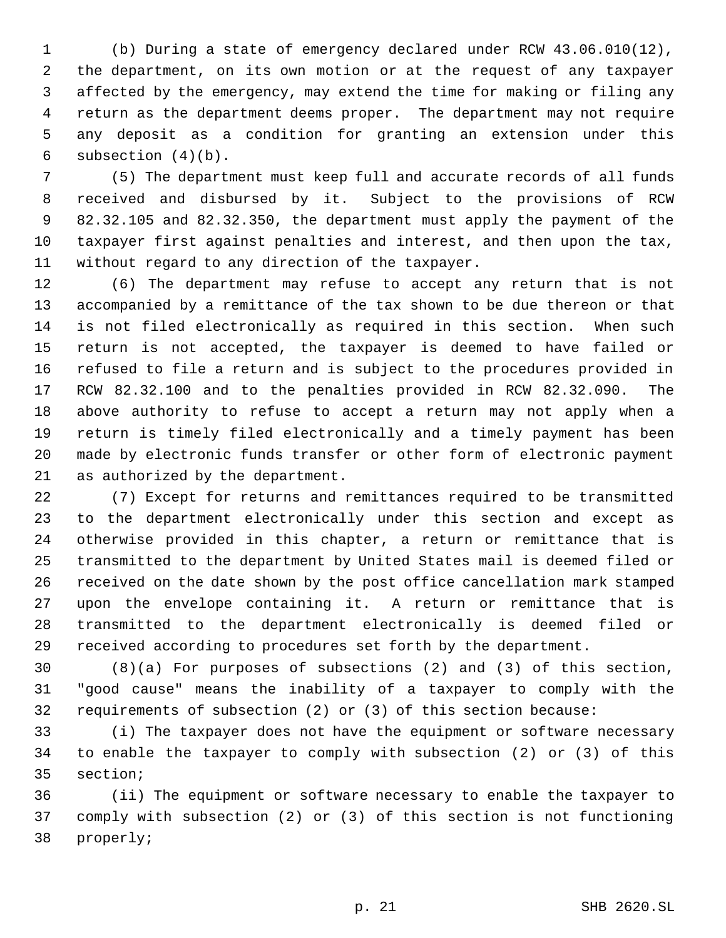(b) During a state of emergency declared under RCW 43.06.010(12), the department, on its own motion or at the request of any taxpayer affected by the emergency, may extend the time for making or filing any return as the department deems proper. The department may not require any deposit as a condition for granting an extension under this 6 subsection  $(4)(b)$ .

 (5) The department must keep full and accurate records of all funds received and disbursed by it. Subject to the provisions of RCW 82.32.105 and 82.32.350, the department must apply the payment of the taxpayer first against penalties and interest, and then upon the tax, without regard to any direction of the taxpayer.

 (6) The department may refuse to accept any return that is not accompanied by a remittance of the tax shown to be due thereon or that is not filed electronically as required in this section. When such return is not accepted, the taxpayer is deemed to have failed or refused to file a return and is subject to the procedures provided in RCW 82.32.100 and to the penalties provided in RCW 82.32.090. The above authority to refuse to accept a return may not apply when a return is timely filed electronically and a timely payment has been made by electronic funds transfer or other form of electronic payment as authorized by the department.

 (7) Except for returns and remittances required to be transmitted to the department electronically under this section and except as otherwise provided in this chapter, a return or remittance that is transmitted to the department by United States mail is deemed filed or received on the date shown by the post office cancellation mark stamped upon the envelope containing it. A return or remittance that is transmitted to the department electronically is deemed filed or received according to procedures set forth by the department.

 (8)(a) For purposes of subsections (2) and (3) of this section, "good cause" means the inability of a taxpayer to comply with the requirements of subsection (2) or (3) of this section because:

 (i) The taxpayer does not have the equipment or software necessary to enable the taxpayer to comply with subsection (2) or (3) of this section;

 (ii) The equipment or software necessary to enable the taxpayer to comply with subsection (2) or (3) of this section is not functioning properly;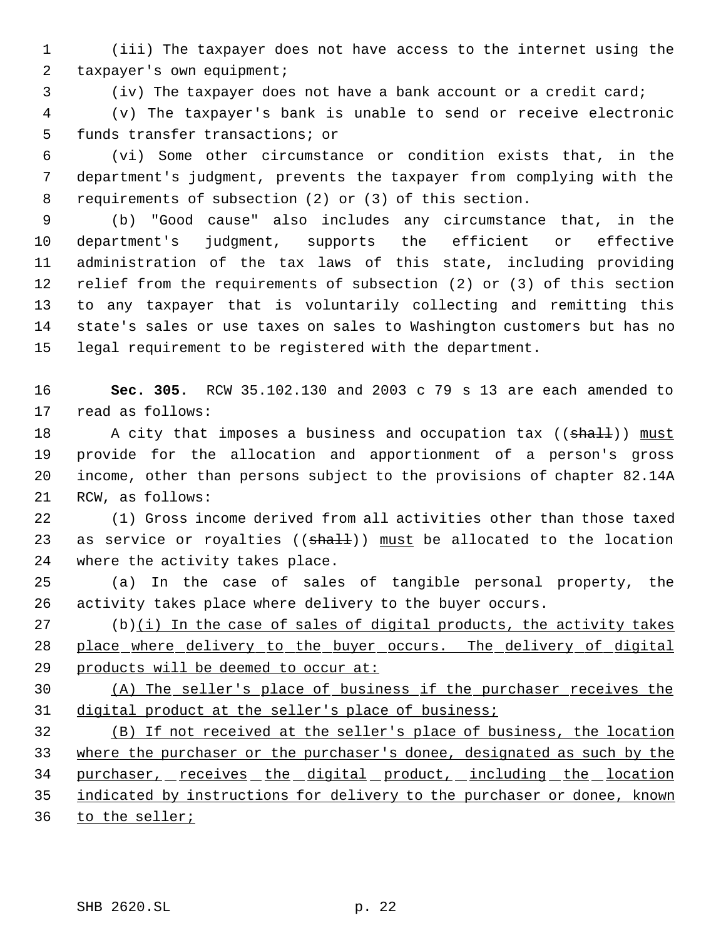(iii) The taxpayer does not have access to the internet using the 2 taxpayer's own equipment;

(iv) The taxpayer does not have a bank account or a credit card;

 (v) The taxpayer's bank is unable to send or receive electronic funds transfer transactions; or

 (vi) Some other circumstance or condition exists that, in the department's judgment, prevents the taxpayer from complying with the requirements of subsection (2) or (3) of this section.

 (b) "Good cause" also includes any circumstance that, in the department's judgment, supports the efficient or effective administration of the tax laws of this state, including providing relief from the requirements of subsection (2) or (3) of this section to any taxpayer that is voluntarily collecting and remitting this state's sales or use taxes on sales to Washington customers but has no legal requirement to be registered with the department.

 **Sec. 305.** RCW 35.102.130 and 2003 c 79 s 13 are each amended to read as follows:

18 A city that imposes a business and occupation tax ((shall)) must provide for the allocation and apportionment of a person's gross income, other than persons subject to the provisions of chapter 82.14A RCW, as follows:

 (1) Gross income derived from all activities other than those taxed 23 as service or royalties  $((shall))$  must be allocated to the location where the activity takes place.

 (a) In the case of sales of tangible personal property, the activity takes place where delivery to the buyer occurs.

 (b)(i) In the case of sales of digital products, the activity takes 28 place where delivery to the buyer occurs. The delivery of digital 29 products will be deemed to occur at:

 (A) The seller's place of business if the purchaser receives the digital product at the seller's place of business;

 (B) If not received at the seller's place of business, the location where the purchaser or the purchaser's donee, designated as such by the 34 purchaser, receives the digital product, including the location indicated by instructions for delivery to the purchaser or donee, known 36 to the seller;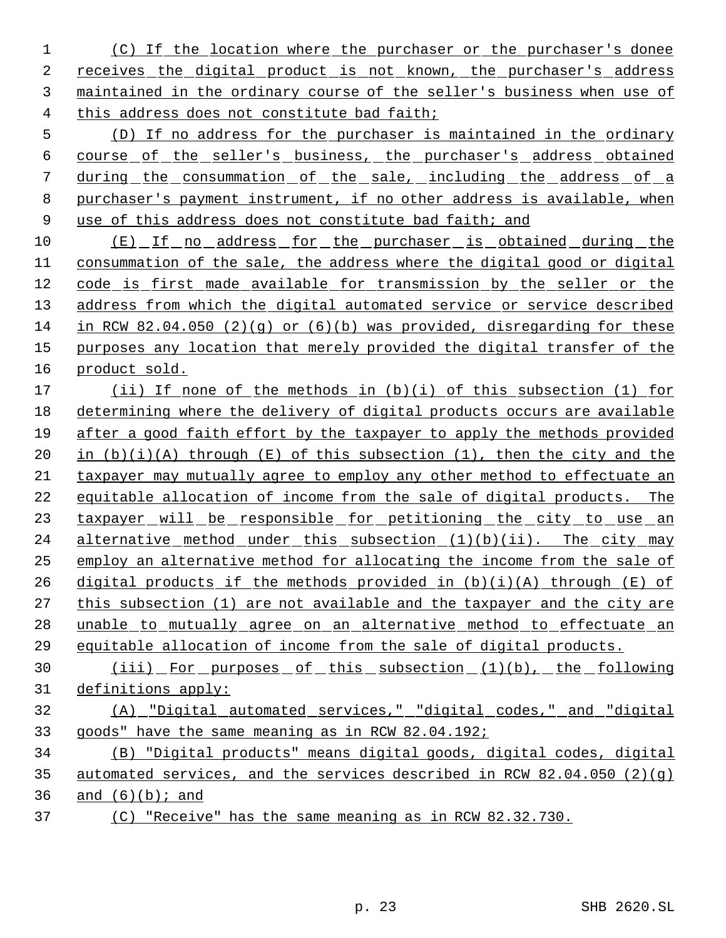(C) If the location where the purchaser or the purchaser's donee receives the digital product is not known, the purchaser's address maintained in the ordinary course of the seller's business when use of this address does not constitute bad faith;

 (D) If no address for the purchaser is maintained in the ordinary course of the seller's business, the purchaser's address obtained during the consummation of the sale, including the address of a purchaser's payment instrument, if no other address is available, when 9 use of this address does not constitute bad faith; and

 (E) If no address for the purchaser is obtained during the consummation of the sale, the address where the digital good or digital code is first made available for transmission by the seller or the 13 address from which the digital automated service or service described in RCW 82.04.050 (2)(g) or (6)(b) was provided, disregarding for these purposes any location that merely provided the digital transfer of the 16 product sold.

17 (ii) If none of the methods in (b)(i) of this subsection (1) for determining where the delivery of digital products occurs are available after a good faith effort by the taxpayer to apply the methods provided 20 in  $(b)(i)(A)$  through  $(E)$  of this subsection  $(1)$ , then the city and the taxpayer may mutually agree to employ any other method to effectuate an equitable allocation of income from the sale of digital products. The 23 taxpayer will be responsible for petitioning the city to use an 24 alternative method under this subsection  $(1)(b)(ii)$ . The city may employ an alternative method for allocating the income from the sale of 26 digital products if the methods provided in  $(b)(i)(A)$  through  $(E)$  of this subsection (1) are not available and the taxpayer and the city are 28 unable to mutually agree on an alternative method to effectuate an equitable allocation of income from the sale of digital products.

30 (iii) For purposes of this subsection (1)(b), the following definitions apply:

# (A) "Digital automated services," "digital codes," and "digital goods" have the same meaning as in RCW 82.04.192;

 (B) "Digital products" means digital goods, digital codes, digital automated services, and the services described in RCW 82.04.050 (2)(g) 36 and  $(6)(b)$ ; and

(C) "Receive" has the same meaning as in RCW 82.32.730.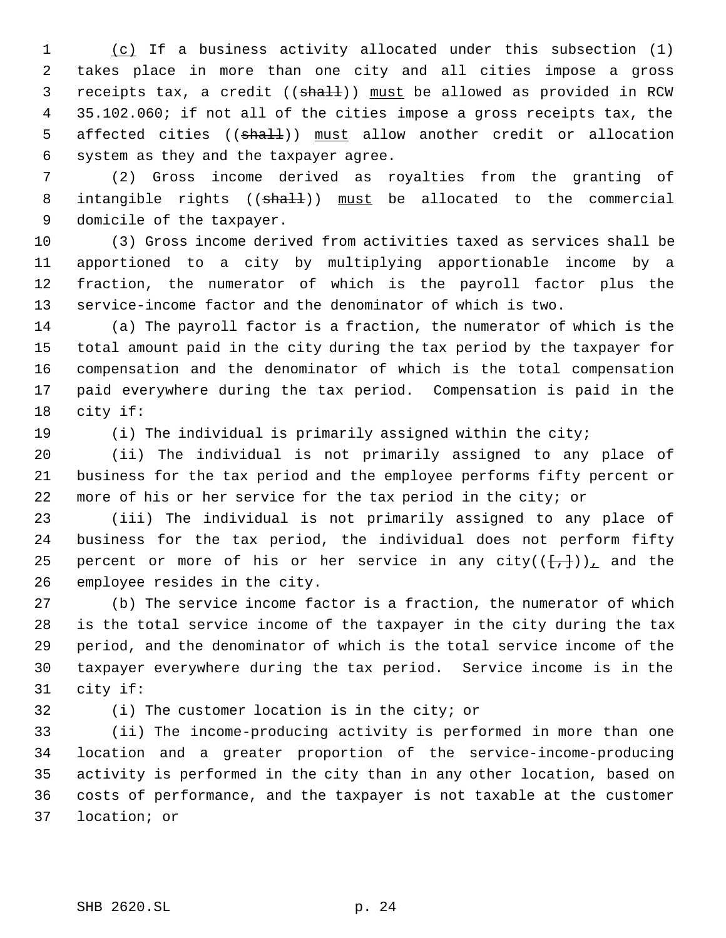(c) If a business activity allocated under this subsection (1) takes place in more than one city and all cities impose a gross 3 receipts tax, a credit (( $shall$ )) must be allowed as provided in RCW 35.102.060; if not all of the cities impose a gross receipts tax, the 5 affected cities ((shall)) must allow another credit or allocation system as they and the taxpayer agree.

 (2) Gross income derived as royalties from the granting of 8 intangible rights ((shall)) must be allocated to the commercial domicile of the taxpayer.

 (3) Gross income derived from activities taxed as services shall be apportioned to a city by multiplying apportionable income by a fraction, the numerator of which is the payroll factor plus the service-income factor and the denominator of which is two.

 (a) The payroll factor is a fraction, the numerator of which is the total amount paid in the city during the tax period by the taxpayer for compensation and the denominator of which is the total compensation paid everywhere during the tax period. Compensation is paid in the city if:

(i) The individual is primarily assigned within the city;

 (ii) The individual is not primarily assigned to any place of business for the tax period and the employee performs fifty percent or more of his or her service for the tax period in the city; or

 (iii) The individual is not primarily assigned to any place of business for the tax period, the individual does not perform fifty 25 percent or more of his or her service in any city( $(\frac{f}{f},\frac{1}{f})$ ), and the employee resides in the city.

 (b) The service income factor is a fraction, the numerator of which is the total service income of the taxpayer in the city during the tax period, and the denominator of which is the total service income of the taxpayer everywhere during the tax period. Service income is in the city if:

(i) The customer location is in the city; or

 (ii) The income-producing activity is performed in more than one location and a greater proportion of the service-income-producing activity is performed in the city than in any other location, based on costs of performance, and the taxpayer is not taxable at the customer location; or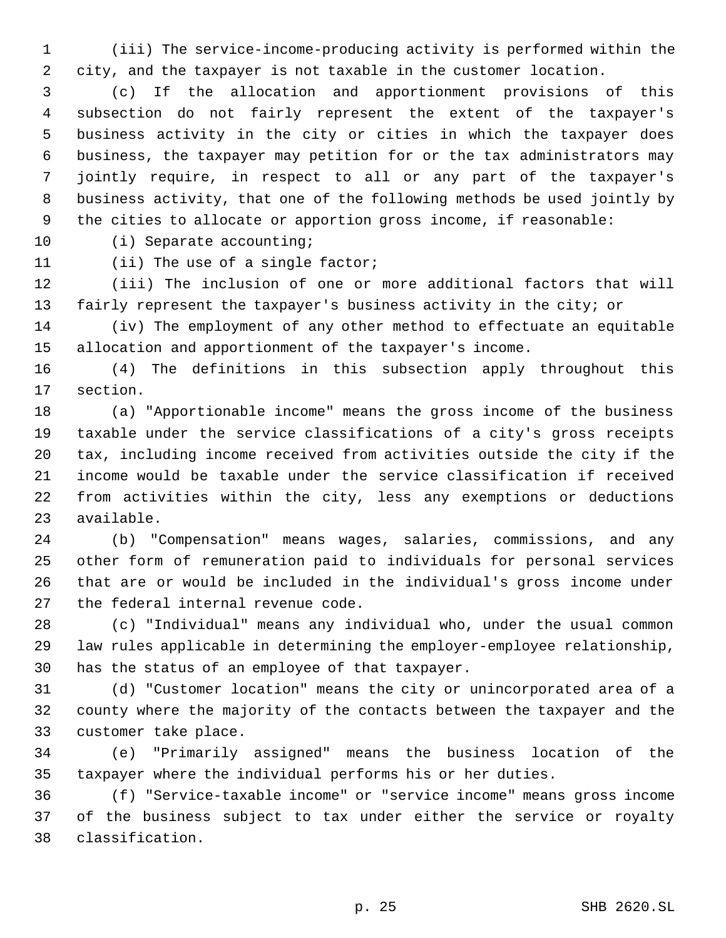(iii) The service-income-producing activity is performed within the city, and the taxpayer is not taxable in the customer location.

 (c) If the allocation and apportionment provisions of this subsection do not fairly represent the extent of the taxpayer's business activity in the city or cities in which the taxpayer does business, the taxpayer may petition for or the tax administrators may jointly require, in respect to all or any part of the taxpayer's business activity, that one of the following methods be used jointly by the cities to allocate or apportion gross income, if reasonable:

10 (i) Separate accounting;

11 (ii) The use of a single factor;

 (iii) The inclusion of one or more additional factors that will fairly represent the taxpayer's business activity in the city; or

 (iv) The employment of any other method to effectuate an equitable allocation and apportionment of the taxpayer's income.

 (4) The definitions in this subsection apply throughout this section.

 (a) "Apportionable income" means the gross income of the business taxable under the service classifications of a city's gross receipts tax, including income received from activities outside the city if the income would be taxable under the service classification if received from activities within the city, less any exemptions or deductions available.

 (b) "Compensation" means wages, salaries, commissions, and any other form of remuneration paid to individuals for personal services that are or would be included in the individual's gross income under the federal internal revenue code.

 (c) "Individual" means any individual who, under the usual common law rules applicable in determining the employer-employee relationship, has the status of an employee of that taxpayer.

 (d) "Customer location" means the city or unincorporated area of a county where the majority of the contacts between the taxpayer and the customer take place.

 (e) "Primarily assigned" means the business location of the taxpayer where the individual performs his or her duties.

 (f) "Service-taxable income" or "service income" means gross income of the business subject to tax under either the service or royalty classification.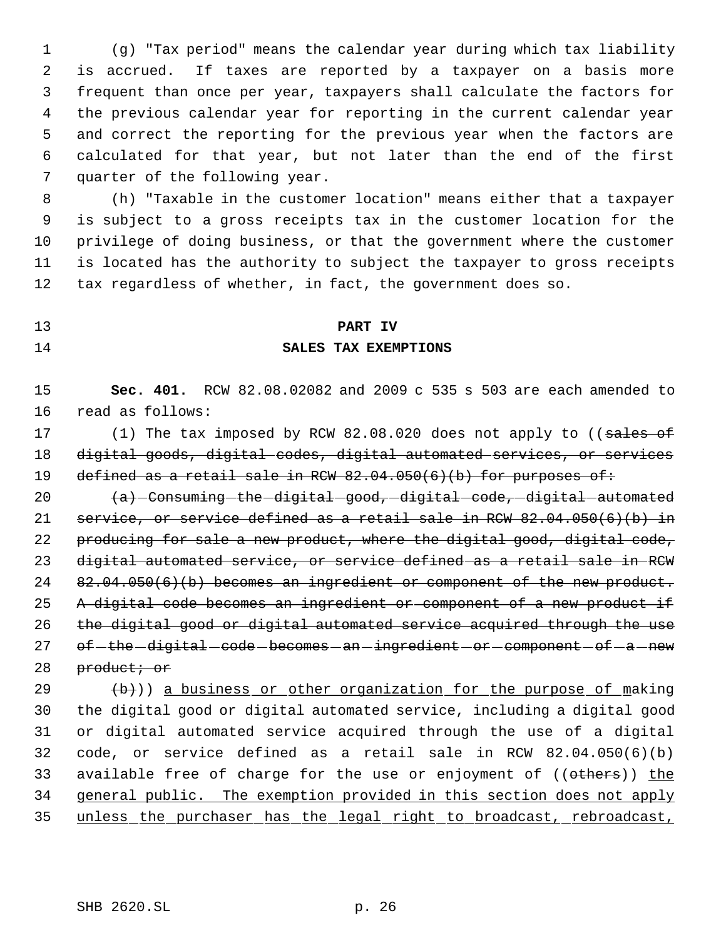(g) "Tax period" means the calendar year during which tax liability is accrued. If taxes are reported by a taxpayer on a basis more frequent than once per year, taxpayers shall calculate the factors for the previous calendar year for reporting in the current calendar year and correct the reporting for the previous year when the factors are calculated for that year, but not later than the end of the first quarter of the following year.

 (h) "Taxable in the customer location" means either that a taxpayer is subject to a gross receipts tax in the customer location for the privilege of doing business, or that the government where the customer is located has the authority to subject the taxpayer to gross receipts tax regardless of whether, in fact, the government does so.

## **PART IV**

### **SALES TAX EXEMPTIONS**

 **Sec. 401.** RCW 82.08.02082 and 2009 c 535 s 503 are each amended to read as follows:

17 (1) The tax imposed by RCW 82.08.020 does not apply to ((sales of digital goods, digital codes, digital automated services, or services 19 defined as a retail sale in RCW 82.04.050(6)(b) for purposes of:

  $\left\{\right.$   $\left\{\right.$   $\left\{\right. \right. \left\{\right. \right. \left\{\right. \left\{\right. \left\{\right. \left\{\right. \left\{\right. \left\{\right. \left\{\right. \left\{\right. \left\{\right. \left\{\right. \left\{\right. \left\{\right. \left\{\right. \left\{\right. \left\{\right. \left\{\right. \left\{\right. \left\{\right. \left\{\right. \left\{\right. \left\{\right. \left\{\right. \left\{\right. \left\{\right. \left\{\right. \left\{\right. \left\{\right. \left\{\right. \left\{\right. \left\{\right$ 21 service, or service defined as a retail sale in RCW  $82.04.050(6)(b)$  in 22 producing for sale a new product, where the digital good, digital code, digital automated service, or service defined as a retail sale in RCW 24 82.04.050(6)(b) becomes an ingredient or component of the new product. 25 A digital code becomes an ingredient or component of a new product if the digital good or digital automated service acquired through the use 27 of-the-digital-code-becomes-an-ingredient-or-component-of-a-new 28 product; or

  $\left(\frac{b}{b}\right)$ ) a business or other organization for the purpose of making the digital good or digital automated service, including a digital good or digital automated service acquired through the use of a digital code, or service defined as a retail sale in RCW 82.04.050(6)(b) 33 available free of charge for the use or enjoyment of ((others)) the general public. The exemption provided in this section does not apply unless the purchaser has the legal right to broadcast, rebroadcast,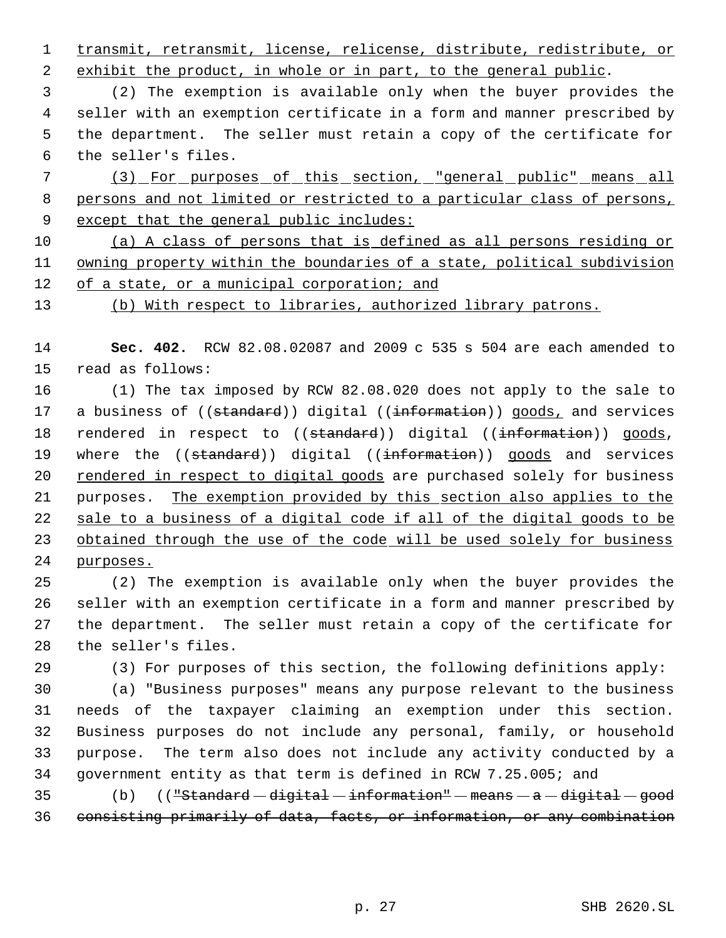1 transmit, retransmit, license, relicense, distribute, redistribute, or

2 exhibit the product, in whole or in part, to the general public.

 (2) The exemption is available only when the buyer provides the seller with an exemption certificate in a form and manner prescribed by the department. The seller must retain a copy of the certificate for the seller's files.

7 (3) For purposes of this section, "general public" means all persons and not limited or restricted to a particular class of persons, 9 except that the general public includes:

 (a) A class of persons that is defined as all persons residing or owning property within the boundaries of a state, political subdivision of a state, or a municipal corporation; and

(b) With respect to libraries, authorized library patrons.

 **Sec. 402.** RCW 82.08.02087 and 2009 c 535 s 504 are each amended to read as follows:

 (1) The tax imposed by RCW 82.08.020 does not apply to the sale to 17 a business of ((standard)) digital ((information)) goods, and services 18 rendered in respect to ((standard)) digital ((information)) goods, 19 where the ((standard)) digital ((information)) goods and services 20 rendered in respect to digital goods are purchased solely for business purposes. The exemption provided by this section also applies to the sale to a business of a digital code if all of the digital goods to be 23 obtained through the use of the code will be used solely for business purposes.

 (2) The exemption is available only when the buyer provides the seller with an exemption certificate in a form and manner prescribed by the department. The seller must retain a copy of the certificate for the seller's files.

(3) For purposes of this section, the following definitions apply:

 (a) "Business purposes" means any purpose relevant to the business needs of the taxpayer claiming an exemption under this section. Business purposes do not include any personal, family, or household purpose. The term also does not include any activity conducted by a government entity as that term is defined in RCW 7.25.005; and

35  $(b)$   $(($  "Standard  $-$  digital  $-$  information"  $-$  means  $-$  a  $-$  digital  $-$  good consisting primarily of data, facts, or information, or any combination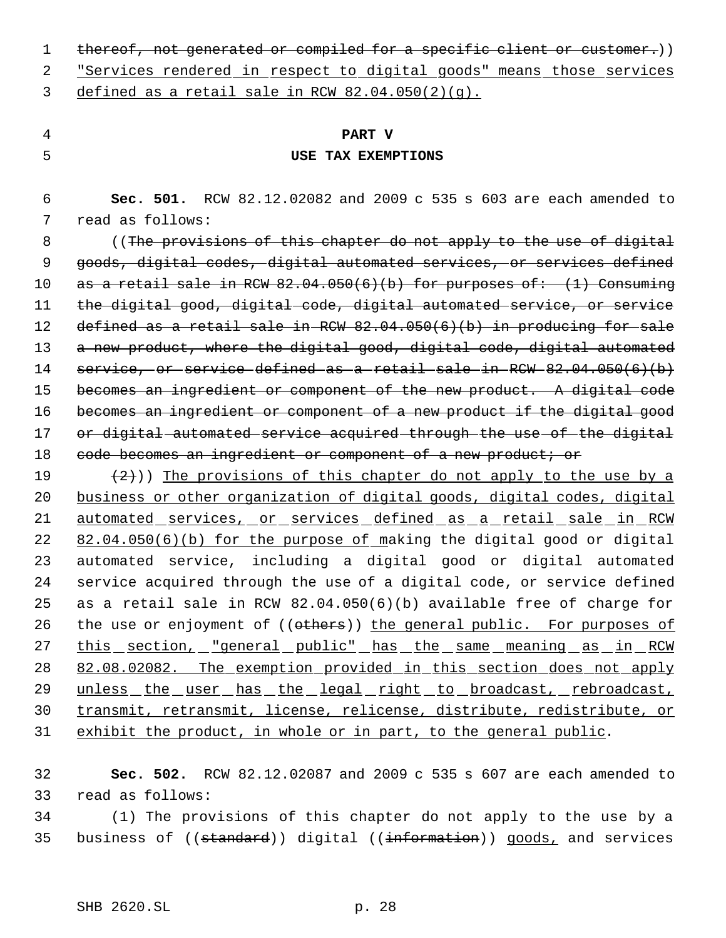1 thereof, not generated or compiled for a specific client or customer.))

 2 "Services rendered in respect to digital goods" means those services 3 defined as a retail sale in RCW  $82.04.050(2)(q)$ .

# 4 **PART V** 5 **USE TAX EXEMPTIONS**

 6 **Sec. 501.** RCW 82.12.02082 and 2009 c 535 s 603 are each amended to 7 read as follows:

 8 ((The provisions of this chapter do not apply to the use of digital 9 goods, digital codes, digital automated services, or services defined 10 as a retail sale in RCW  $82.04.050(6)(b)$  for purposes of:  $(1)$  Consuming 11 the digital good, digital code, digital automated service, or service 12 defined as a retail sale in RCW 82.04.050(6)(b) in producing for sale 13 a new product, where the digital good, digital code, digital automated 14 service, or service defined as a retail sale in RCW 82.04.050(6)(b) 15 becomes an ingredient or component of the new product. A digital code 16 becomes an ingredient or component of a new product if the digital good 17 or digital automated service acquired through the use of the digital 18 code becomes an ingredient or component of a new product; or

19  $(2)$ )) The provisions of this chapter do not apply to the use by a 20 business or other organization of digital goods, digital codes, digital 21 automated services, or services defined as a retail sale in RCW 22 82.04.050(6)(b) for the purpose of making the digital good or digital 23 automated service, including a digital good or digital automated 24 service acquired through the use of a digital code, or service defined 25 as a retail sale in RCW 82.04.050(6)(b) available free of charge for 26 the use or enjoyment of ((others)) the general public. For purposes of 27 this section, "general public" has the same meaning as in RCW 28 82.08.02082. The exemption provided in this section does not apply 29 unless the user has the legal right to broadcast, rebroadcast, 30 transmit, retransmit, license, relicense, distribute, redistribute, or 31 exhibit the product, in whole or in part, to the general public.

32 **Sec. 502.** RCW 82.12.02087 and 2009 c 535 s 607 are each amended to 33 read as follows:

34 (1) The provisions of this chapter do not apply to the use by a 35 business of ((standard)) digital ((information)) goods, and services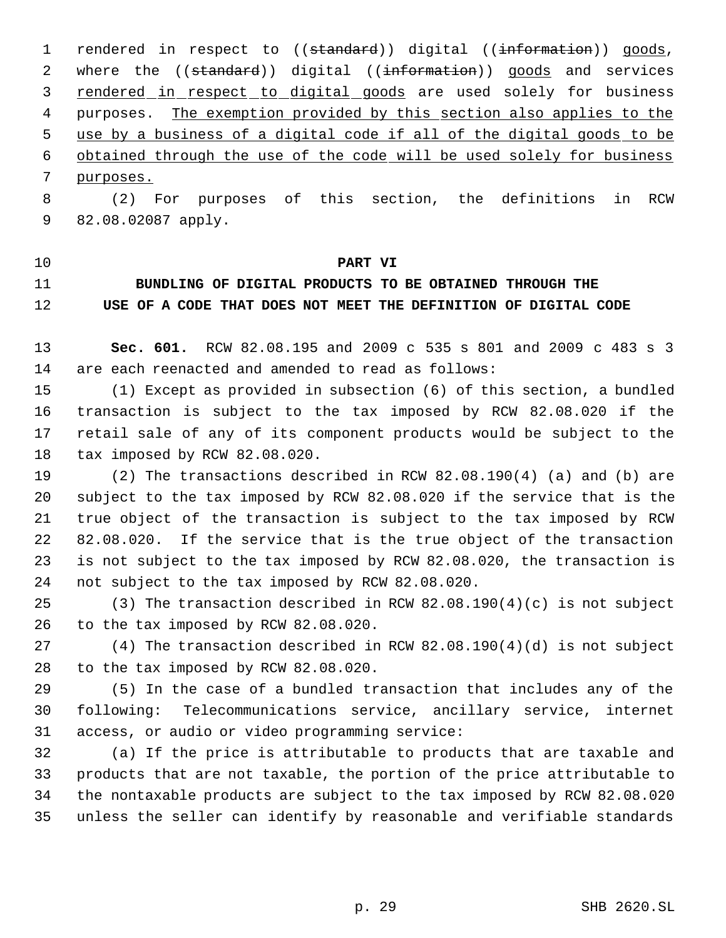1 rendered in respect to ((standard)) digital ((information)) goods, 2 where the ((standard)) digital ((information)) goods and services 3 rendered in respect to digital goods are used solely for business 4 purposes. The exemption provided by this section also applies to the use by a business of a digital code if all of the digital goods to be obtained through the use of the code will be used solely for business purposes.

 (2) For purposes of this section, the definitions in RCW 82.08.02087 apply.

### **PART VI**

# **BUNDLING OF DIGITAL PRODUCTS TO BE OBTAINED THROUGH THE USE OF A CODE THAT DOES NOT MEET THE DEFINITION OF DIGITAL CODE**

 **Sec. 601.** RCW 82.08.195 and 2009 c 535 s 801 and 2009 c 483 s 3 are each reenacted and amended to read as follows:

 (1) Except as provided in subsection (6) of this section, a bundled transaction is subject to the tax imposed by RCW 82.08.020 if the retail sale of any of its component products would be subject to the tax imposed by RCW 82.08.020.

 (2) The transactions described in RCW 82.08.190(4) (a) and (b) are subject to the tax imposed by RCW 82.08.020 if the service that is the true object of the transaction is subject to the tax imposed by RCW 82.08.020. If the service that is the true object of the transaction is not subject to the tax imposed by RCW 82.08.020, the transaction is not subject to the tax imposed by RCW 82.08.020.

 (3) The transaction described in RCW 82.08.190(4)(c) is not subject to the tax imposed by RCW 82.08.020.

 (4) The transaction described in RCW 82.08.190(4)(d) is not subject to the tax imposed by RCW 82.08.020.

 (5) In the case of a bundled transaction that includes any of the following: Telecommunications service, ancillary service, internet access, or audio or video programming service:

 (a) If the price is attributable to products that are taxable and products that are not taxable, the portion of the price attributable to the nontaxable products are subject to the tax imposed by RCW 82.08.020 unless the seller can identify by reasonable and verifiable standards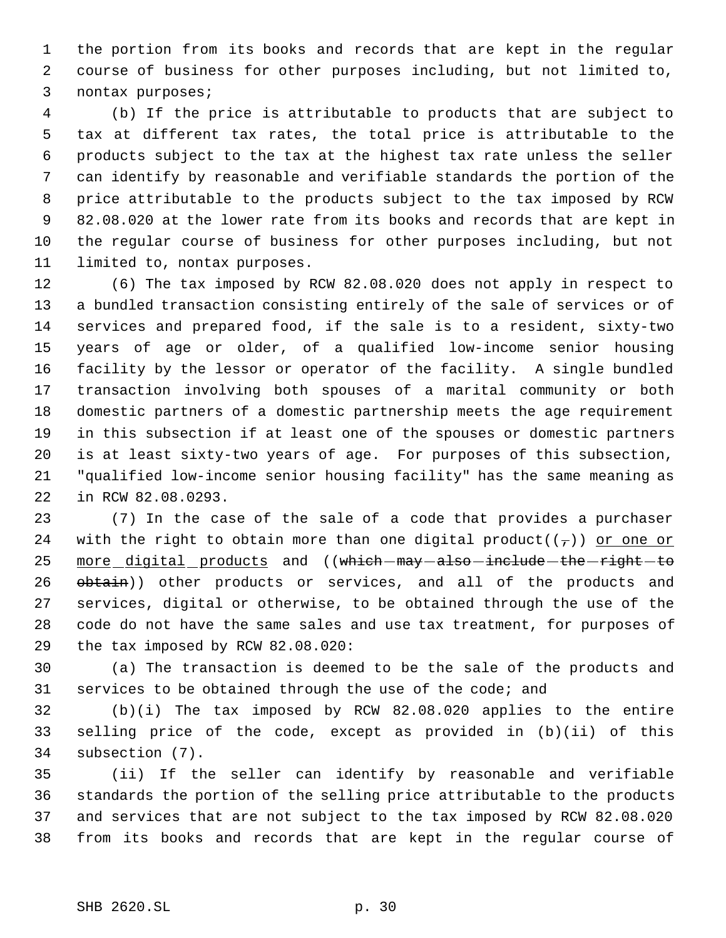the portion from its books and records that are kept in the regular course of business for other purposes including, but not limited to, nontax purposes;

 (b) If the price is attributable to products that are subject to tax at different tax rates, the total price is attributable to the products subject to the tax at the highest tax rate unless the seller can identify by reasonable and verifiable standards the portion of the price attributable to the products subject to the tax imposed by RCW 82.08.020 at the lower rate from its books and records that are kept in the regular course of business for other purposes including, but not limited to, nontax purposes.

 (6) The tax imposed by RCW 82.08.020 does not apply in respect to a bundled transaction consisting entirely of the sale of services or of services and prepared food, if the sale is to a resident, sixty-two years of age or older, of a qualified low-income senior housing facility by the lessor or operator of the facility. A single bundled transaction involving both spouses of a marital community or both domestic partners of a domestic partnership meets the age requirement in this subsection if at least one of the spouses or domestic partners is at least sixty-two years of age. For purposes of this subsection, "qualified low-income senior housing facility" has the same meaning as in RCW 82.08.0293.

 (7) In the case of the sale of a code that provides a purchaser 24 with the right to obtain more than one digital product( $(\tau)$ ) or one or 25 more digital products and ((which-may-also-include-the-right-to 26 obtain)) other products or services, and all of the products and services, digital or otherwise, to be obtained through the use of the code do not have the same sales and use tax treatment, for purposes of the tax imposed by RCW 82.08.020:

 (a) The transaction is deemed to be the sale of the products and services to be obtained through the use of the code; and

 (b)(i) The tax imposed by RCW 82.08.020 applies to the entire selling price of the code, except as provided in (b)(ii) of this subsection (7).

 (ii) If the seller can identify by reasonable and verifiable standards the portion of the selling price attributable to the products and services that are not subject to the tax imposed by RCW 82.08.020 from its books and records that are kept in the regular course of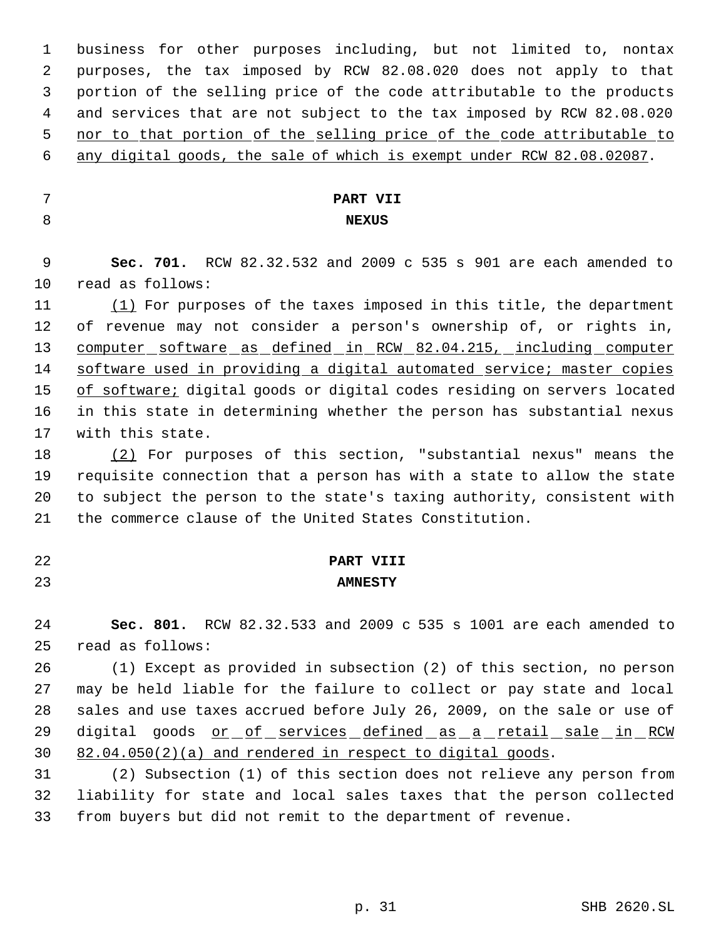business for other purposes including, but not limited to, nontax purposes, the tax imposed by RCW 82.08.020 does not apply to that portion of the selling price of the code attributable to the products and services that are not subject to the tax imposed by RCW 82.08.020 5 nor to that portion of the selling price of the code attributable to

- any digital goods, the sale of which is exempt under RCW 82.08.02087.
- 
- 

# **PART VII NEXUS**

 **Sec. 701.** RCW 82.32.532 and 2009 c 535 s 901 are each amended to read as follows:

11 (1) For purposes of the taxes imposed in this title, the department of revenue may not consider a person's ownership of, or rights in, 13 computer software as defined in RCW 82.04.215, including computer 14 software used in providing a digital automated service; master copies 15 of software; digital goods or digital codes residing on servers located in this state in determining whether the person has substantial nexus with this state.

 (2) For purposes of this section, "substantial nexus" means the requisite connection that a person has with a state to allow the state to subject the person to the state's taxing authority, consistent with the commerce clause of the United States Constitution.

# **PART VIII AMNESTY**

 **Sec. 801.** RCW 82.32.533 and 2009 c 535 s 1001 are each amended to read as follows:

 (1) Except as provided in subsection (2) of this section, no person may be held liable for the failure to collect or pay state and local sales and use taxes accrued before July 26, 2009, on the sale or use of 29 digital goods or of services defined as a retail sale in RCW 82.04.050(2)(a) and rendered in respect to digital goods.

 (2) Subsection (1) of this section does not relieve any person from liability for state and local sales taxes that the person collected from buyers but did not remit to the department of revenue.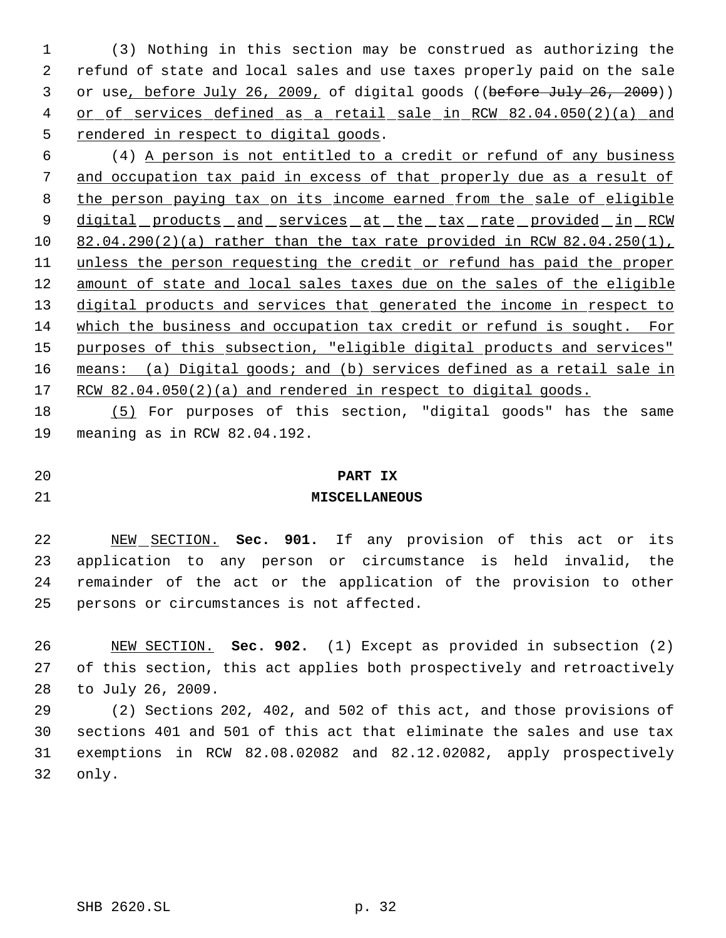(3) Nothing in this section may be construed as authorizing the refund of state and local sales and use taxes properly paid on the sale 3 or use, before July 26, 2009, of digital goods ((before July 26, 2009)) 4 or of services defined as a retail sale in RCW 82.04.050(2)(a) and 5 rendered in respect to digital goods.

 (4) A person is not entitled to a credit or refund of any business and occupation tax paid in excess of that properly due as a result of 8 the person paying tax on its income earned from the sale of eligible 9 digital products and services at the tax rate provided in RCW 82.04.290(2)(a) rather than the tax rate provided in RCW 82.04.250(1), unless the person requesting the credit or refund has paid the proper 12 amount of state and local sales taxes due on the sales of the eligible 13 digital products and services that generated the income in respect to which the business and occupation tax credit or refund is sought. For 15 purposes of this subsection, "eligible digital products and services" 16 means: (a) Digital goods; and (b) services defined as a retail sale in 17 RCW 82.04.050(2)(a) and rendered in respect to digital goods.

 (5) For purposes of this section, "digital goods" has the same meaning as in RCW 82.04.192.

**PART IX**

**MISCELLANEOUS**

 NEW SECTION. **Sec. 901.** If any provision of this act or its application to any person or circumstance is held invalid, the remainder of the act or the application of the provision to other persons or circumstances is not affected.

 NEW SECTION. **Sec. 902.** (1) Except as provided in subsection (2) of this section, this act applies both prospectively and retroactively to July 26, 2009.

 (2) Sections 202, 402, and 502 of this act, and those provisions of sections 401 and 501 of this act that eliminate the sales and use tax exemptions in RCW 82.08.02082 and 82.12.02082, apply prospectively only.